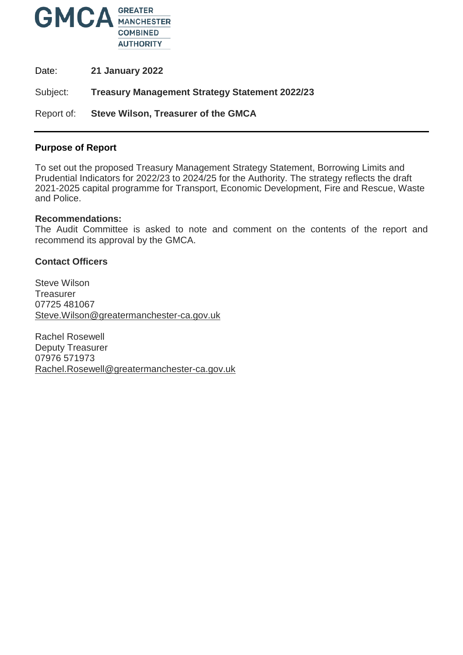

Date: **21 January 2022**

Subject: **Treasury Management Strategy Statement 2022/23**

Report of: **Steve Wilson, Treasurer of the GMCA**

#### **Purpose of Report**

To set out the proposed Treasury Management Strategy Statement, Borrowing Limits and Prudential Indicators for 2022/23 to 2024/25 for the Authority. The strategy reflects the draft 2021-2025 capital programme for Transport, Economic Development, Fire and Rescue, Waste and Police.

#### **Recommendations:**

The Audit Committee is asked to note and comment on the contents of the report and recommend its approval by the GMCA.

#### **Contact Officers**

Steve Wilson **Treasurer** 07725 481067 [Steve.Wilson@greatermanchester-ca.gov.uk](mailto:Steve.Wilson@greatermanchester-ca.gov.uk)

Rachel Rosewell Deputy Treasurer 07976 571973 [Rachel.Rosewell@greatermanchester-ca.gov.uk](mailto:Rachel.Rosewell@greatermanchester-ca.gov.uk)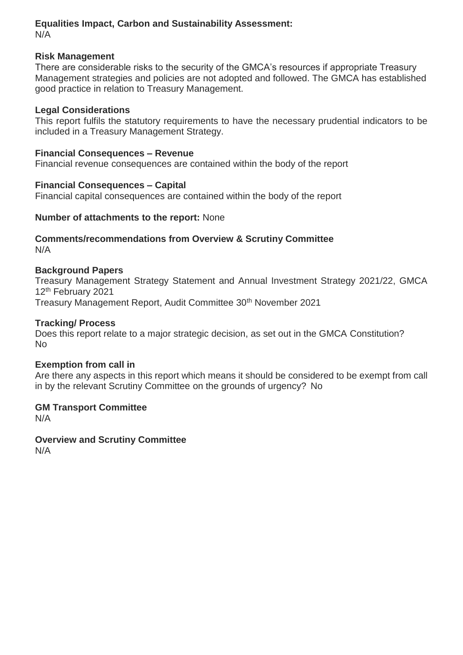#### **Equalities Impact, Carbon and Sustainability Assessment:** N/A

#### **Risk Management**

There are considerable risks to the security of the GMCA's resources if appropriate Treasury Management strategies and policies are not adopted and followed. The GMCA has established good practice in relation to Treasury Management.

### **Legal Considerations**

This report fulfils the statutory requirements to have the necessary prudential indicators to be included in a Treasury Management Strategy.

# **Financial Consequences – Revenue**

Financial revenue consequences are contained within the body of the report

# **Financial Consequences – Capital**

Financial capital consequences are contained within the body of the report

# **Number of attachments to the report:** None

### **Comments/recommendations from Overview & Scrutiny Committee**  N/A

# **Background Papers**

Treasury Management Strategy Statement and Annual Investment Strategy 2021/22, GMCA 12<sup>th</sup> February 2021 Treasury Management Report, Audit Committee 30<sup>th</sup> November 2021

### **Tracking/ Process**

Does this report relate to a major strategic decision, as set out in the GMCA Constitution? No

#### **Exemption from call in**

Are there any aspects in this report which means it should be considered to be exempt from call in by the relevant Scrutiny Committee on the grounds of urgency? No

# **GM Transport Committee**

N/A

# **Overview and Scrutiny Committee**

N/A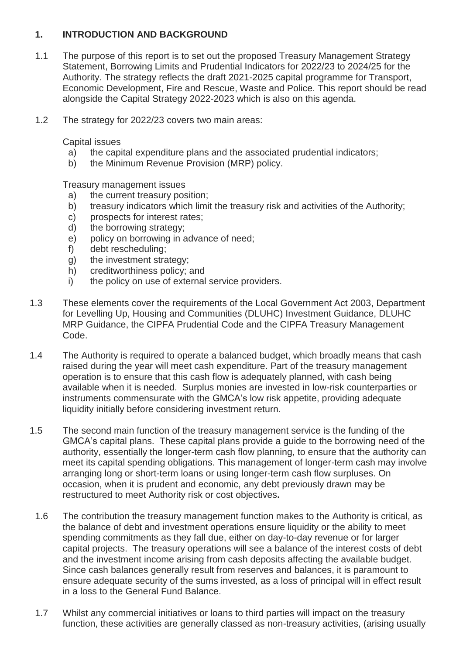# **1. INTRODUCTION AND BACKGROUND**

- 1.1 The purpose of this report is to set out the proposed Treasury Management Strategy Statement, Borrowing Limits and Prudential Indicators for 2022/23 to 2024/25 for the Authority. The strategy reflects the draft 2021-2025 capital programme for Transport, Economic Development, Fire and Rescue, Waste and Police. This report should be read alongside the Capital Strategy 2022-2023 which is also on this agenda.
- 1.2 The strategy for 2022/23 covers two main areas:

Capital issues

- a) the capital expenditure plans and the associated prudential indicators;
- b) the Minimum Revenue Provision (MRP) policy.

Treasury management issues

- a) the current treasury position;
- b) treasury indicators which limit the treasury risk and activities of the Authority;
- c) prospects for interest rates;
- d) the borrowing strategy;
- e) policy on borrowing in advance of need;
- f) debt rescheduling;
- g) the investment strategy;
- h) creditworthiness policy; and
- i) the policy on use of external service providers.
- 1.3 These elements cover the requirements of the Local Government Act 2003, Department for Levelling Up, Housing and Communities (DLUHC) Investment Guidance, DLUHC MRP Guidance, the CIPFA Prudential Code and the CIPFA Treasury Management Code.
- 1.4 The Authority is required to operate a balanced budget, which broadly means that cash raised during the year will meet cash expenditure. Part of the treasury management operation is to ensure that this cash flow is adequately planned, with cash being available when it is needed. Surplus monies are invested in low-risk counterparties or instruments commensurate with the GMCA's low risk appetite, providing adequate liquidity initially before considering investment return.
- 1.5 The second main function of the treasury management service is the funding of the GMCA's capital plans. These capital plans provide a guide to the borrowing need of the authority, essentially the longer-term cash flow planning, to ensure that the authority can meet its capital spending obligations. This management of longer-term cash may involve arranging long or short-term loans or using longer-term cash flow surpluses. On occasion, when it is prudent and economic, any debt previously drawn may be restructured to meet Authority risk or cost objectives**.**
	- 1.6 The contribution the treasury management function makes to the Authority is critical, as the balance of debt and investment operations ensure liquidity or the ability to meet spending commitments as they fall due, either on day-to-day revenue or for larger capital projects. The treasury operations will see a balance of the interest costs of debt and the investment income arising from cash deposits affecting the available budget. Since cash balances generally result from reserves and balances, it is paramount to ensure adequate security of the sums invested, as a loss of principal will in effect result in a loss to the General Fund Balance.
	- 1.7 Whilst any commercial initiatives or loans to third parties will impact on the treasury function, these activities are generally classed as non-treasury activities, (arising usually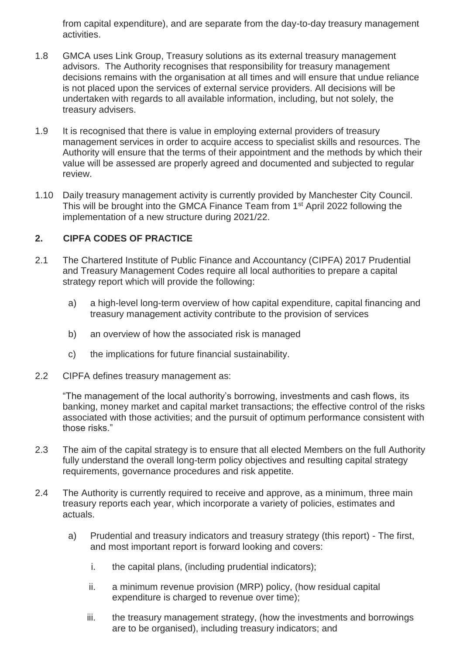from capital expenditure), and are separate from the day-to-day treasury management activities.

- 1.8 GMCA uses Link Group, Treasury solutions as its external treasury management advisors. The Authority recognises that responsibility for treasury management decisions remains with the organisation at all times and will ensure that undue reliance is not placed upon the services of external service providers. All decisions will be undertaken with regards to all available information, including, but not solely, the treasury advisers.
- 1.9 It is recognised that there is value in employing external providers of treasury management services in order to acquire access to specialist skills and resources. The Authority will ensure that the terms of their appointment and the methods by which their value will be assessed are properly agreed and documented and subjected to regular review.
- 1.10 Daily treasury management activity is currently provided by Manchester City Council. This will be brought into the GMCA Finance Team from 1st April 2022 following the implementation of a new structure during 2021/22.

# **2. CIPFA CODES OF PRACTICE**

- 2.1 The Chartered Institute of Public Finance and Accountancy (CIPFA) 2017 Prudential and Treasury Management Codes require all local authorities to prepare a capital strategy report which will provide the following:
	- a) a high-level long-term overview of how capital expenditure, capital financing and treasury management activity contribute to the provision of services
	- b) an overview of how the associated risk is managed
	- c) the implications for future financial sustainability.
- 2.2 CIPFA defines treasury management as:

"The management of the local authority's borrowing, investments and cash flows, its banking, money market and capital market transactions; the effective control of the risks associated with those activities; and the pursuit of optimum performance consistent with those risks."

- 2.3 The aim of the capital strategy is to ensure that all elected Members on the full Authority fully understand the overall long-term policy objectives and resulting capital strategy requirements, governance procedures and risk appetite.
- 2.4 The Authority is currently required to receive and approve, as a minimum, three main treasury reports each year, which incorporate a variety of policies, estimates and actuals.
	- a) Prudential and treasury indicators and treasury strategy (this report) The first, and most important report is forward looking and covers:
		- i. the capital plans, (including prudential indicators);
		- ii. a minimum revenue provision (MRP) policy, (how residual capital expenditure is charged to revenue over time);
		- iii. the treasury management strategy, (how the investments and borrowings are to be organised), including treasury indicators; and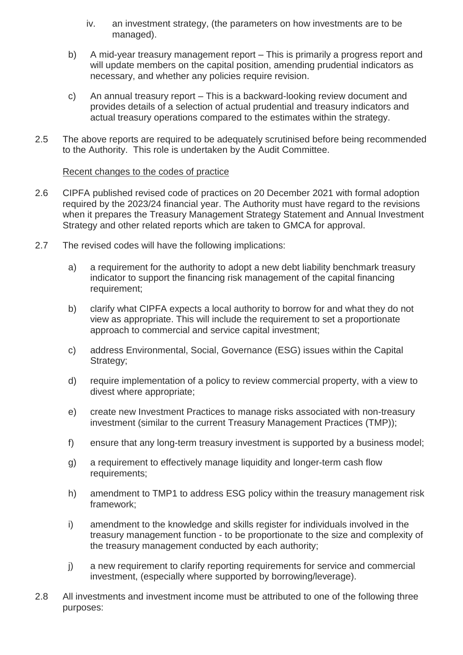- iv. an investment strategy, (the parameters on how investments are to be managed).
- b) A mid-year treasury management report This is primarily a progress report and will update members on the capital position, amending prudential indicators as necessary, and whether any policies require revision.
- c) An annual treasury report This is a backward-looking review document and provides details of a selection of actual prudential and treasury indicators and actual treasury operations compared to the estimates within the strategy.
- 2.5 The above reports are required to be adequately scrutinised before being recommended to the Authority. This role is undertaken by the Audit Committee.

# Recent changes to the codes of practice

- 2.6 CIPFA published revised code of practices on 20 December 2021 with formal adoption required by the 2023/24 financial year. The Authority must have regard to the revisions when it prepares the Treasury Management Strategy Statement and Annual Investment Strategy and other related reports which are taken to GMCA for approval.
- 2.7 The revised codes will have the following implications:
	- a) a requirement for the authority to adopt a new debt liability benchmark treasury indicator to support the financing risk management of the capital financing requirement;
	- b) clarify what CIPFA expects a local authority to borrow for and what they do not view as appropriate. This will include the requirement to set a proportionate approach to commercial and service capital investment;
	- c) address Environmental, Social, Governance (ESG) issues within the Capital Strategy;
	- d) require implementation of a policy to review commercial property, with a view to divest where appropriate;
	- e) create new Investment Practices to manage risks associated with non-treasury investment (similar to the current Treasury Management Practices (TMP));
	- f) ensure that any long-term treasury investment is supported by a business model;
	- g) a requirement to effectively manage liquidity and longer-term cash flow requirements;
	- h) amendment to TMP1 to address ESG policy within the treasury management risk framework;
	- i) amendment to the knowledge and skills register for individuals involved in the treasury management function - to be proportionate to the size and complexity of the treasury management conducted by each authority;
	- j) a new requirement to clarify reporting requirements for service and commercial investment, (especially where supported by borrowing/leverage).
- 2.8 All investments and investment income must be attributed to one of the following three purposes: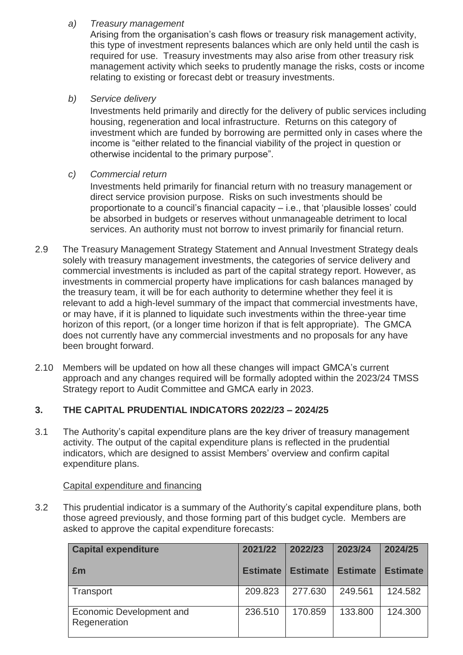# *a) Treasury management*

Arising from the organisation's cash flows or treasury risk management activity, this type of investment represents balances which are only held until the cash is required for use. Treasury investments may also arise from other treasury risk management activity which seeks to prudently manage the risks, costs or income relating to existing or forecast debt or treasury investments.

# *b) Service delivery*

Investments held primarily and directly for the delivery of public services including housing, regeneration and local infrastructure. Returns on this category of investment which are funded by borrowing are permitted only in cases where the income is "either related to the financial viability of the project in question or otherwise incidental to the primary purpose".

# *c) Commercial return*

Investments held primarily for financial return with no treasury management or direct service provision purpose. Risks on such investments should be proportionate to a council's financial capacity – i.e., that 'plausible losses' could be absorbed in budgets or reserves without unmanageable detriment to local services. An authority must not borrow to invest primarily for financial return.

- 2.9 The Treasury Management Strategy Statement and Annual Investment Strategy deals solely with treasury management investments, the categories of service delivery and commercial investments is included as part of the capital strategy report. However, as investments in commercial property have implications for cash balances managed by the treasury team, it will be for each authority to determine whether they feel it is relevant to add a high-level summary of the impact that commercial investments have, or may have, if it is planned to liquidate such investments within the three-year time horizon of this report, (or a longer time horizon if that is felt appropriate). The GMCA does not currently have any commercial investments and no proposals for any have been brought forward.
- 2.10 Members will be updated on how all these changes will impact GMCA's current approach and any changes required will be formally adopted within the 2023/24 TMSS Strategy report to Audit Committee and GMCA early in 2023.

# **3. THE CAPITAL PRUDENTIAL INDICATORS 2022/23 – 2024/25**

3.1 The Authority's capital expenditure plans are the key driver of treasury management activity. The output of the capital expenditure plans is reflected in the prudential indicators, which are designed to assist Members' overview and confirm capital expenditure plans.

#### Capital expenditure and financing

3.2 This prudential indicator is a summary of the Authority's capital expenditure plans, both those agreed previously, and those forming part of this budget cycle. Members are asked to approve the capital expenditure forecasts:

| <b>Capital expenditure</b>               | 2021/22         | 2022/23         | 2023/24         | 2024/25         |
|------------------------------------------|-----------------|-----------------|-----------------|-----------------|
| Em                                       | <b>Estimate</b> | <b>Estimate</b> | <b>Estimate</b> | <b>Estimate</b> |
| <b>Transport</b>                         | 209.823         | 277.630         | 249.561         | 124.582         |
| Economic Development and<br>Regeneration | 236,510         | 170.859         | 133,800         | 124.300         |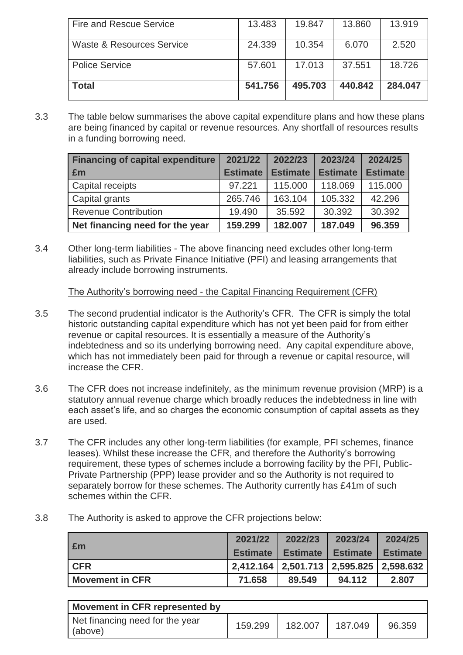| <b>Fire and Rescue Service</b>       | 13.483  | 19.847  | 13.860  | 13.919  |
|--------------------------------------|---------|---------|---------|---------|
| <b>Waste &amp; Resources Service</b> | 24.339  | 10.354  | 6.070   | 2.520   |
| <b>Police Service</b>                | 57.601  | 17.013  | 37.551  | 18.726  |
| <b>Total</b>                         | 541.756 | 495.703 | 440.842 | 284.047 |

3.3 The table below summarises the above capital expenditure plans and how these plans are being financed by capital or revenue resources. Any shortfall of resources results in a funding borrowing need.

| <b>Financing of capital expenditure</b> | 2021/22         | 2022/23         | 2023/24         | 2024/25         |
|-----------------------------------------|-----------------|-----------------|-----------------|-----------------|
| Em                                      | <b>Estimate</b> | <b>Estimate</b> | <b>Estimate</b> | <b>Estimate</b> |
| Capital receipts                        | 97.221          | 115,000         | 118,069         | 115,000         |
| Capital grants                          | 265.746         | 163.104         | 105.332         | 42.296          |
| <b>Revenue Contribution</b>             | 19.490          | 35.592          | 30.392          | 30.392          |
| Net financing need for the year         | 159.299         | 182.007         | 187.049         | 96,359          |

3.4 Other long-term liabilities - The above financing need excludes other long-term liabilities, such as Private Finance Initiative (PFI) and leasing arrangements that already include borrowing instruments.

The Authority's borrowing need - the Capital Financing Requirement (CFR)

- 3.5 The second prudential indicator is the Authority's CFR. The CFR is simply the total historic outstanding capital expenditure which has not yet been paid for from either revenue or capital resources. It is essentially a measure of the Authority's indebtedness and so its underlying borrowing need. Any capital expenditure above, which has not immediately been paid for through a revenue or capital resource, will increase the CFR.
- 3.6 The CFR does not increase indefinitely, as the minimum revenue provision (MRP) is a statutory annual revenue charge which broadly reduces the indebtedness in line with each asset's life, and so charges the economic consumption of capital assets as they are used.
- 3.7 The CFR includes any other long-term liabilities (for example, PFI schemes, finance leases). Whilst these increase the CFR, and therefore the Authority's borrowing requirement, these types of schemes include a borrowing facility by the PFI, Public-Private Partnership (PPP) lease provider and so the Authority is not required to separately borrow for these schemes. The Authority currently has £41m of such schemes within the CFR.
- 3.8 The Authority is asked to approve the CFR projections below:

| Em                     | 2021/22         | 2022/23                                    | 2023/24         | 2024/25         |
|------------------------|-----------------|--------------------------------------------|-----------------|-----------------|
|                        | <b>Estimate</b> | <b>Estimate</b>                            | <b>Estimate</b> | <b>Estimate</b> |
| <b>CFR</b>             |                 | $ 2,412.164 2,501.713 2,595.825 2,598.632$ |                 |                 |
| <b>Movement in CFR</b> | 71.658          | 89.549                                     | 94.112          | 2.807           |

| Movement in CFR represented by             |         |         |         |        |  |  |  |  |
|--------------------------------------------|---------|---------|---------|--------|--|--|--|--|
| Net financing need for the year<br>(above) | 159.299 | 182.007 | 187.049 | 96.359 |  |  |  |  |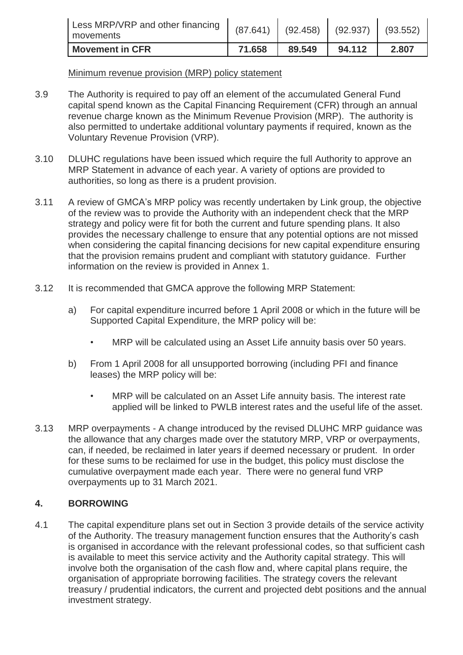| Less MRP/VRP and other financing<br>movements | (87.641) | (92.458) | $(92.937)$ (93.552) |       |
|-----------------------------------------------|----------|----------|---------------------|-------|
| <b>Movement in CFR</b>                        | 71.658   | 89.549   | 94.112              | 2.807 |

#### Minimum revenue provision (MRP) policy statement

- 3.9 The Authority is required to pay off an element of the accumulated General Fund capital spend known as the Capital Financing Requirement (CFR) through an annual revenue charge known as the Minimum Revenue Provision (MRP). The authority is also permitted to undertake additional voluntary payments if required, known as the Voluntary Revenue Provision (VRP).
- 3.10 DLUHC regulations have been issued which require the full Authority to approve an MRP Statement in advance of each year. A variety of options are provided to authorities, so long as there is a prudent provision.
- 3.11 A review of GMCA's MRP policy was recently undertaken by Link group, the objective of the review was to provide the Authority with an independent check that the MRP strategy and policy were fit for both the current and future spending plans. It also provides the necessary challenge to ensure that any potential options are not missed when considering the capital financing decisions for new capital expenditure ensuring that the provision remains prudent and compliant with statutory guidance. Further information on the review is provided in Annex 1.
- 3.12 It is recommended that GMCA approve the following MRP Statement:
	- a) For capital expenditure incurred before 1 April 2008 or which in the future will be Supported Capital Expenditure, the MRP policy will be:
		- MRP will be calculated using an Asset Life annuity basis over 50 years.
	- b) From 1 April 2008 for all unsupported borrowing (including PFI and finance leases) the MRP policy will be:
		- MRP will be calculated on an Asset Life annuity basis. The interest rate applied will be linked to PWLB interest rates and the useful life of the asset.
- 3.13 MRP overpayments A change introduced by the revised DLUHC MRP guidance was the allowance that any charges made over the statutory MRP, VRP or overpayments, can, if needed, be reclaimed in later years if deemed necessary or prudent. In order for these sums to be reclaimed for use in the budget, this policy must disclose the cumulative overpayment made each year. There were no general fund VRP overpayments up to 31 March 2021.

# **4. BORROWING**

4.1 The capital expenditure plans set out in Section 3 provide details of the service activity of the Authority. The treasury management function ensures that the Authority's cash is organised in accordance with the relevant professional codes, so that sufficient cash is available to meet this service activity and the Authority capital strategy. This will involve both the organisation of the cash flow and, where capital plans require, the organisation of appropriate borrowing facilities. The strategy covers the relevant treasury / prudential indicators, the current and projected debt positions and the annual investment strategy.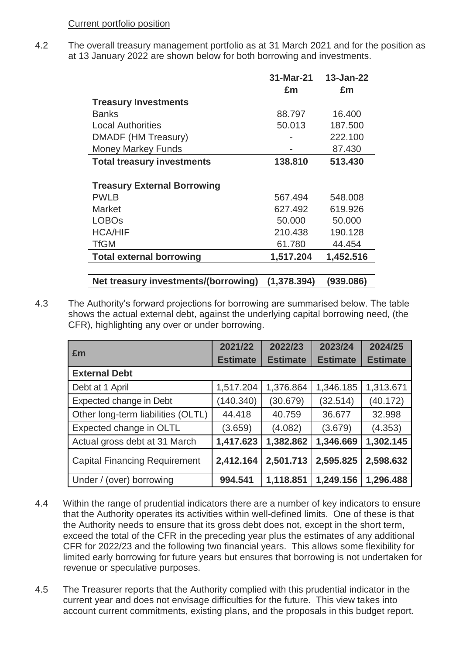#### Current portfolio position

4.2 The overall treasury management portfolio as at 31 March 2021 and for the position as at 13 January 2022 are shown below for both borrowing and investments.

|                                      | 31-Mar-21   | 13-Jan-22 |
|--------------------------------------|-------------|-----------|
|                                      | £m          | £m        |
| <b>Treasury Investments</b>          |             |           |
| <b>Banks</b>                         | 88.797      | 16.400    |
| <b>Local Authorities</b>             | 50.013      | 187.500   |
| DMADF (HM Treasury)                  |             | 222.100   |
| <b>Money Markey Funds</b>            |             | 87.430    |
| <b>Total treasury investments</b>    | 138.810     | 513.430   |
|                                      |             |           |
| <b>Treasury External Borrowing</b>   |             |           |
| <b>PWLB</b>                          | 567.494     | 548,008   |
| <b>Market</b>                        | 627.492     | 619.926   |
| <b>LOBOs</b>                         | 50,000      | 50.000    |
| <b>HCA/HIF</b>                       | 210.438     | 190.128   |
| <b>TfGM</b>                          | 61.780      | 44.454    |
| <b>Total external borrowing</b>      | 1,517.204   | 1,452.516 |
| Net treasury investments/(borrowing) | (1,378.394) | (939.086) |

4.3 The Authority's forward projections for borrowing are summarised below. The table shows the actual external debt, against the underlying capital borrowing need, (the CFR), highlighting any over or under borrowing.

|                                      | 2021/22         | 2022/23         | 2023/24         | 2024/25         |
|--------------------------------------|-----------------|-----------------|-----------------|-----------------|
| £m                                   | <b>Estimate</b> | <b>Estimate</b> | <b>Estimate</b> | <b>Estimate</b> |
| <b>External Debt</b>                 |                 |                 |                 |                 |
| Debt at 1 April                      | 1,517.204       | 1,376.864       | 1,346.185       | 1,313.671       |
| Expected change in Debt              | (140.340)       | (30.679)        | (32.514)        | (40.172)        |
| Other long-term liabilities (OLTL)   | 44.418          | 40.759          | 36.677          | 32.998          |
| Expected change in OLTL              | (3.659)         | (4.082)         | (3.679)         | (4.353)         |
| Actual gross debt at 31 March        | 1,417.623       | 1,382.862       | 1,346.669       | 1,302.145       |
| <b>Capital Financing Requirement</b> | 2,412.164       | 2,501.713       | 2,595.825       | 2,598.632       |
| Under / (over) borrowing             | 994.541         | 1,118.851       | 1,249.156       | 1,296.488       |

- 4.4 Within the range of prudential indicators there are a number of key indicators to ensure that the Authority operates its activities within well-defined limits. One of these is that the Authority needs to ensure that its gross debt does not, except in the short term, exceed the total of the CFR in the preceding year plus the estimates of any additional CFR for 2022/23 and the following two financial years. This allows some flexibility for limited early borrowing for future years but ensures that borrowing is not undertaken for revenue or speculative purposes.
- 4.5 The Treasurer reports that the Authority complied with this prudential indicator in the current year and does not envisage difficulties for the future. This view takes into account current commitments, existing plans, and the proposals in this budget report.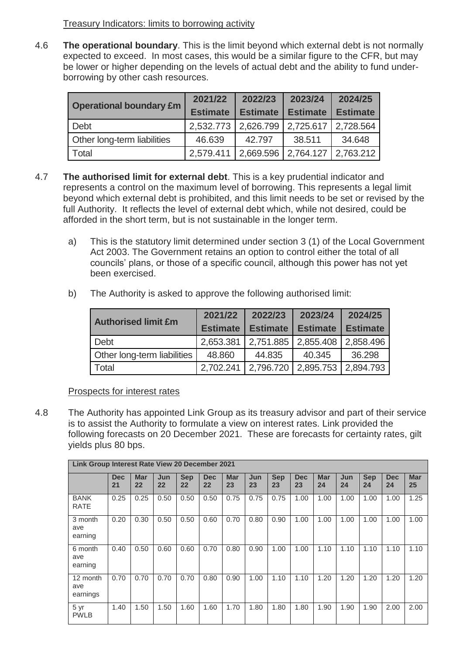# Treasury Indicators: limits to borrowing activity

4.6 **The operational boundary**. This is the limit beyond which external debt is not normally expected to exceed. In most cases, this would be a similar figure to the CFR, but may be lower or higher depending on the levels of actual debt and the ability to fund underborrowing by other cash resources.

|                                | 2021/22         | 2022/23                                                                                                                                 | 2023/24 | 2024/25   |
|--------------------------------|-----------------|-----------------------------------------------------------------------------------------------------------------------------------------|---------|-----------|
| <b>Operational boundary £m</b> | <b>Estimate</b> | <b>Estimate</b><br><b>Estimate</b><br><b>Estimate</b><br>2,626.799<br>2,725.617<br>34.648<br>38.511<br>42.797<br>2,764.127<br>2,669.596 |         |           |
| Debt                           | 2,532.773       |                                                                                                                                         |         | 2,728.564 |
| Other long-term liabilities    | 46.639          |                                                                                                                                         |         |           |
| Total                          | 2.579.411       |                                                                                                                                         |         | 2,763.212 |

- 4.7 **The authorised limit for external debt**. This is a key prudential indicator and represents a control on the maximum level of borrowing. This represents a legal limit beyond which external debt is prohibited, and this limit needs to be set or revised by the full Authority. It reflects the level of external debt which, while not desired, could be afforded in the short term, but is not sustainable in the longer term.
	- a) This is the statutory limit determined under section 3 (1) of the Local Government Act 2003. The Government retains an option to control either the total of all councils' plans, or those of a specific council, although this power has not yet been exercised.
	- b) The Authority is asked to approve the following authorised limit:

| <b>Authorised limit £m</b>  | 2021/22   | 2022/23                                       | 2023/24         | 2024/25         |
|-----------------------------|-----------|-----------------------------------------------|-----------------|-----------------|
|                             |           | <b>Estimate   Estimate</b>                    | <b>Estimate</b> | <b>Estimate</b> |
| <b>Debt</b>                 | 2,653.381 | $\mid$ 2,751.885 $\mid$ 2,855.408             |                 | 2,858.496       |
| Other long-term liabilities | 48.860    | 44.835                                        | 40.345          | 36.298          |
| Total                       |           | 2,702.241   2,796.720   2,895.753   2,894.793 |                 |                 |

#### Prospects for interest rates

4.8 The Authority has appointed Link Group as its treasury advisor and part of their service is to assist the Authority to formulate a view on interest rates. Link provided the following forecasts on 20 December 2021. These are forecasts for certainty rates, gilt yields plus 80 bps.

|                             | Link Group Interest Rate View 20 December 2021 |                  |           |                  |                  |                  |           |                  |                  |                  |           |                  |                  |                  |
|-----------------------------|------------------------------------------------|------------------|-----------|------------------|------------------|------------------|-----------|------------------|------------------|------------------|-----------|------------------|------------------|------------------|
|                             | <b>Dec</b><br>21                               | <b>Mar</b><br>22 | Jun<br>22 | <b>Sep</b><br>22 | <b>Dec</b><br>22 | <b>Mar</b><br>23 | Jun<br>23 | <b>Sep</b><br>23 | <b>Dec</b><br>23 | <b>Mar</b><br>24 | Jun<br>24 | <b>Sep</b><br>24 | <b>Dec</b><br>24 | <b>Mar</b><br>25 |
| <b>BANK</b><br><b>RATE</b>  | 0.25                                           | 0.25             | 0.50      | 0.50             | 0.50             | 0.75             | 0.75      | 0.75             | 1.00             | 1.00             | 1.00      | 1.00             | 1.00             | 1.25             |
| 3 month<br>ave<br>earning   | 0.20                                           | 0.30             | 0.50      | 0.50             | 0.60             | 0.70             | 0.80      | 0.90             | 1.00             | 1.00             | 1.00      | 1.00             | 1.00             | 1.00             |
| 6 month<br>ave<br>earning   | 0.40                                           | 0.50             | 0.60      | 0.60             | 0.70             | 0.80             | 0.90      | 1.00             | 1.00             | 1.10             | 1.10      | 1.10             | 1.10             | 1.10             |
| 12 month<br>ave<br>earnings | 0.70                                           | 0.70             | 0.70      | 0.70             | 0.80             | 0.90             | 1.00      | 1.10             | 1.10             | 1.20             | 1.20      | 1.20             | 1.20             | 1.20             |
| 5 yr<br><b>PWLB</b>         | 1.40                                           | 1.50             | 1.50      | 1.60             | 1.60             | 1.70             | 1.80      | 1.80             | 1.80             | 1.90             | 1.90      | 1.90             | 2.00             | 2.00             |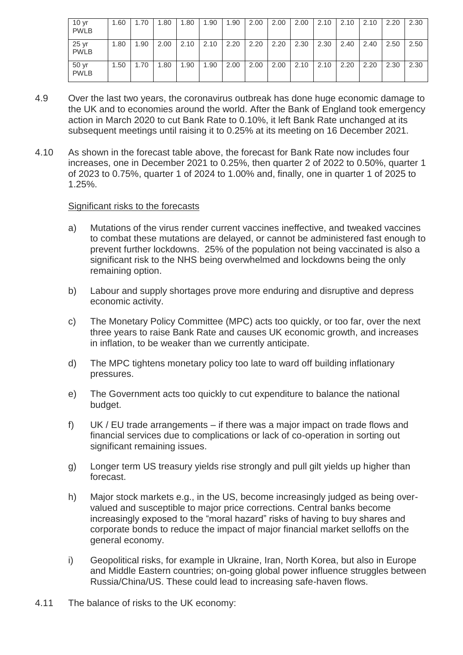| 10 <sub>yr</sub><br><b>PWLB</b> | 1.60 | 70.، | .80  | 1.80 | .90  | 1.90 | 2.00 | 2.00 | 2.00 | 2.10 | 2.10 | 2.10 | 2.20 | 2.30 |
|---------------------------------|------|------|------|------|------|------|------|------|------|------|------|------|------|------|
| 25 <sub>yr</sub><br><b>PWLB</b> | 1.80 | .90  | 2.00 | 2.10 | 2.10 | 2.20 | 2.20 | 2.20 | 2.30 | 2.30 | 2.40 | 2.40 | 2.50 | 2.50 |
| 50 yr<br><b>PWLB</b>            | 1.50 | 1.70 | .80  | 1.90 | .90  | 2.00 | 2.00 | 2.00 | 2.10 | 2.10 | 2.20 | 2.20 | 2.30 | 2.30 |

- 4.9 Over the last two years, the coronavirus outbreak has done huge economic damage to the UK and to economies around the world. After the Bank of England took emergency action in March 2020 to cut Bank Rate to 0.10%, it left Bank Rate unchanged at its subsequent meetings until raising it to 0.25% at its meeting on 16 December 2021.
- 4.10 As shown in the forecast table above, the forecast for Bank Rate now includes four increases, one in December 2021 to 0.25%, then quarter 2 of 2022 to 0.50%, quarter 1 of 2023 to 0.75%, quarter 1 of 2024 to 1.00% and, finally, one in quarter 1 of 2025 to 1.25%.

#### Significant risks to the forecasts

- a) Mutations of the virus render current vaccines ineffective, and tweaked vaccines to combat these mutations are delayed, or cannot be administered fast enough to prevent further lockdowns. 25% of the population not being vaccinated is also a significant risk to the NHS being overwhelmed and lockdowns being the only remaining option.
- b) Labour and supply shortages prove more enduring and disruptive and depress economic activity.
- c) The Monetary Policy Committee (MPC) acts too quickly, or too far, over the next three years to raise Bank Rate and causes UK economic growth, and increases in inflation, to be weaker than we currently anticipate.
- d) The MPC tightens monetary policy too late to ward off building inflationary pressures.
- e) The Government acts too quickly to cut expenditure to balance the national budget.
- f) UK / EU trade arrangements if there was a major impact on trade flows and financial services due to complications or lack of co-operation in sorting out significant remaining issues.
- g) Longer term US treasury yields rise strongly and pull gilt yields up higher than forecast.
- h) Major stock markets e.g., in the US, become increasingly judged as being overvalued and susceptible to major price corrections. Central banks become increasingly exposed to the "moral hazard" risks of having to buy shares and corporate bonds to reduce the impact of major financial market selloffs on the general economy.
- i) Geopolitical risks, for example in Ukraine, Iran, North Korea, but also in Europe and Middle Eastern countries; on-going global power influence struggles between Russia/China/US. These could lead to increasing safe-haven flows.
- 4.11 The balance of risks to the UK economy: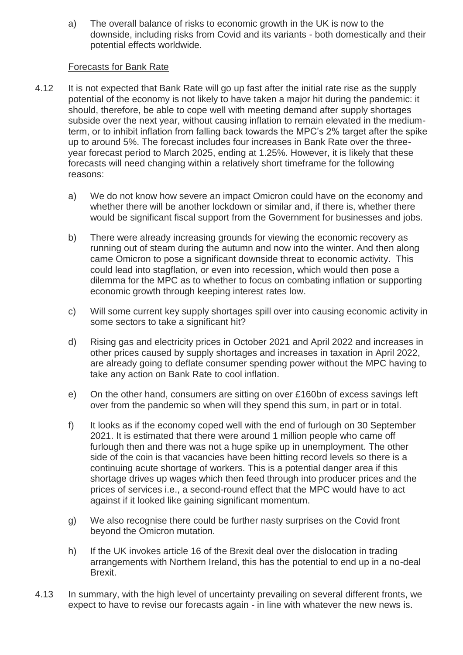a) The overall balance of risks to economic growth in the UK is now to the downside, including risks from Covid and its variants - both domestically and their potential effects worldwide.

#### Forecasts for Bank Rate

- 4.12 It is not expected that Bank Rate will go up fast after the initial rate rise as the supply potential of the economy is not likely to have taken a major hit during the pandemic: it should, therefore, be able to cope well with meeting demand after supply shortages subside over the next year, without causing inflation to remain elevated in the mediumterm, or to inhibit inflation from falling back towards the MPC's 2% target after the spike up to around 5%. The forecast includes four increases in Bank Rate over the threeyear forecast period to March 2025, ending at 1.25%. However, it is likely that these forecasts will need changing within a relatively short timeframe for the following reasons:
	- a) We do not know how severe an impact Omicron could have on the economy and whether there will be another lockdown or similar and, if there is, whether there would be significant fiscal support from the Government for businesses and jobs.
	- b) There were already increasing grounds for viewing the economic recovery as running out of steam during the autumn and now into the winter. And then along came Omicron to pose a significant downside threat to economic activity. This could lead into stagflation, or even into recession, which would then pose a dilemma for the MPC as to whether to focus on combating inflation or supporting economic growth through keeping interest rates low.
	- c) Will some current key supply shortages spill over into causing economic activity in some sectors to take a significant hit?
	- d) Rising gas and electricity prices in October 2021 and April 2022 and increases in other prices caused by supply shortages and increases in taxation in April 2022, are already going to deflate consumer spending power without the MPC having to take any action on Bank Rate to cool inflation.
	- e) On the other hand, consumers are sitting on over £160bn of excess savings left over from the pandemic so when will they spend this sum, in part or in total.
	- f) It looks as if the economy coped well with the end of furlough on 30 September 2021. It is estimated that there were around 1 million people who came off furlough then and there was not a huge spike up in unemployment. The other side of the coin is that vacancies have been hitting record levels so there is a continuing acute shortage of workers. This is a potential danger area if this shortage drives up wages which then feed through into producer prices and the prices of services i.e., a second-round effect that the MPC would have to act against if it looked like gaining significant momentum.
	- g) We also recognise there could be further nasty surprises on the Covid front beyond the Omicron mutation.
	- h) If the UK invokes article 16 of the Brexit deal over the dislocation in trading arrangements with Northern Ireland, this has the potential to end up in a no-deal Brexit.
- 4.13 In summary, with the high level of uncertainty prevailing on several different fronts, we expect to have to revise our forecasts again - in line with whatever the new news is.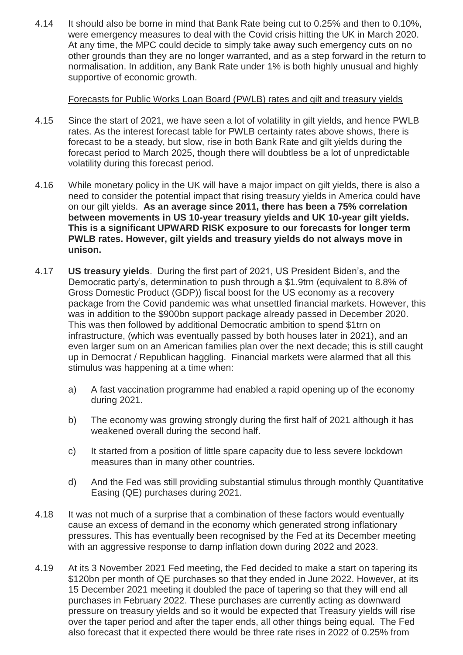4.14 It should also be borne in mind that Bank Rate being cut to 0.25% and then to 0.10%, were emergency measures to deal with the Covid crisis hitting the UK in March 2020. At any time, the MPC could decide to simply take away such emergency cuts on no other grounds than they are no longer warranted, and as a step forward in the return to normalisation. In addition, any Bank Rate under 1% is both highly unusual and highly supportive of economic growth.

# Forecasts for Public Works Loan Board (PWLB) rates and gilt and treasury yields

- 4.15 Since the start of 2021, we have seen a lot of volatility in gilt yields, and hence PWLB rates. As the interest forecast table for PWLB certainty rates above shows, there is forecast to be a steady, but slow, rise in both Bank Rate and gilt yields during the forecast period to March 2025, though there will doubtless be a lot of unpredictable volatility during this forecast period.
- 4.16 While monetary policy in the UK will have a major impact on gilt yields, there is also a need to consider the potential impact that rising treasury yields in America could have on our gilt yields. **As an average since 2011, there has been a 75% correlation between movements in US 10-year treasury yields and UK 10-year gilt yields. This is a significant UPWARD RISK exposure to our forecasts for longer term PWLB rates. However, gilt yields and treasury yields do not always move in unison.**
- 4.17 **US treasury yields**. During the first part of 2021, US President Biden's, and the Democratic party's, determination to push through a \$1.9trn (equivalent to 8.8% of Gross Domestic Product (GDP)) fiscal boost for the US economy as a recovery package from the Covid pandemic was what unsettled financial markets. However, this was in addition to the \$900bn support package already passed in December 2020. This was then followed by additional Democratic ambition to spend \$1trn on infrastructure, (which was eventually passed by both houses later in 2021), and an even larger sum on an American families plan over the next decade; this is still caught up in Democrat / Republican haggling. Financial markets were alarmed that all this stimulus was happening at a time when:
	- a) A fast vaccination programme had enabled a rapid opening up of the economy during 2021.
	- b) The economy was growing strongly during the first half of 2021 although it has weakened overall during the second half.
	- c) It started from a position of little spare capacity due to less severe lockdown measures than in many other countries.
	- d) And the Fed was still providing substantial stimulus through monthly Quantitative Easing (QE) purchases during 2021.
- 4.18 It was not much of a surprise that a combination of these factors would eventually cause an excess of demand in the economy which generated strong inflationary pressures. This has eventually been recognised by the Fed at its December meeting with an aggressive response to damp inflation down during 2022 and 2023.
- 4.19 At its 3 November 2021 Fed meeting, the Fed decided to make a start on tapering its \$120bn per month of QE purchases so that they ended in June 2022. However, at its 15 December 2021 meeting it doubled the pace of tapering so that they will end all purchases in February 2022. These purchases are currently acting as downward pressure on treasury yields and so it would be expected that Treasury yields will rise over the taper period and after the taper ends, all other things being equal. The Fed also forecast that it expected there would be three rate rises in 2022 of 0.25% from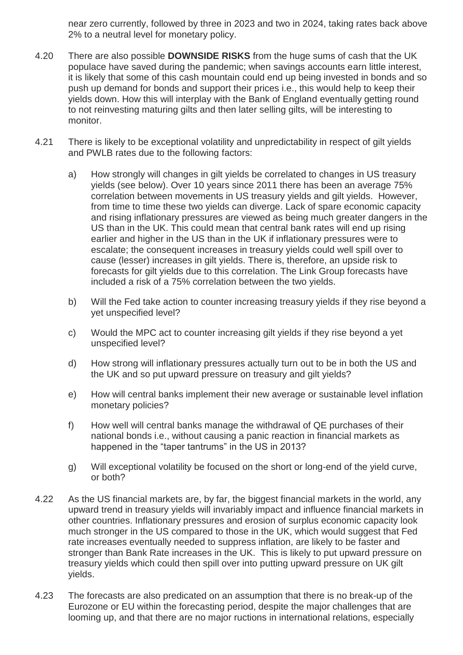near zero currently, followed by three in 2023 and two in 2024, taking rates back above 2% to a neutral level for monetary policy.

- 4.20 There are also possible **DOWNSIDE RISKS** from the huge sums of cash that the UK populace have saved during the pandemic; when savings accounts earn little interest, it is likely that some of this cash mountain could end up being invested in bonds and so push up demand for bonds and support their prices i.e., this would help to keep their yields down. How this will interplay with the Bank of England eventually getting round to not reinvesting maturing gilts and then later selling gilts, will be interesting to monitor.
- 4.21 There is likely to be exceptional volatility and unpredictability in respect of gilt yields and PWLB rates due to the following factors:
	- a) How strongly will changes in gilt yields be correlated to changes in US treasury yields (see below). Over 10 years since 2011 there has been an average 75% correlation between movements in US treasury yields and gilt yields. However, from time to time these two yields can diverge. Lack of spare economic capacity and rising inflationary pressures are viewed as being much greater dangers in the US than in the UK. This could mean that central bank rates will end up rising earlier and higher in the US than in the UK if inflationary pressures were to escalate; the consequent increases in treasury yields could well spill over to cause (lesser) increases in gilt yields. There is, therefore, an upside risk to forecasts for gilt yields due to this correlation. The Link Group forecasts have included a risk of a 75% correlation between the two yields.
	- b) Will the Fed take action to counter increasing treasury yields if they rise beyond a yet unspecified level?
	- c) Would the MPC act to counter increasing gilt yields if they rise beyond a yet unspecified level?
	- d) How strong will inflationary pressures actually turn out to be in both the US and the UK and so put upward pressure on treasury and gilt yields?
	- e) How will central banks implement their new average or sustainable level inflation monetary policies?
	- f) How well will central banks manage the withdrawal of QE purchases of their national bonds i.e., without causing a panic reaction in financial markets as happened in the "taper tantrums" in the US in 2013?
	- g) Will exceptional volatility be focused on the short or long-end of the yield curve, or both?
- 4.22 As the US financial markets are, by far, the biggest financial markets in the world, any upward trend in treasury yields will invariably impact and influence financial markets in other countries. Inflationary pressures and erosion of surplus economic capacity look much stronger in the US compared to those in the UK, which would suggest that Fed rate increases eventually needed to suppress inflation, are likely to be faster and stronger than Bank Rate increases in the UK. This is likely to put upward pressure on treasury yields which could then spill over into putting upward pressure on UK gilt yields.
- 4.23 The forecasts are also predicated on an assumption that there is no break-up of the Eurozone or EU within the forecasting period, despite the major challenges that are looming up, and that there are no major ructions in international relations, especially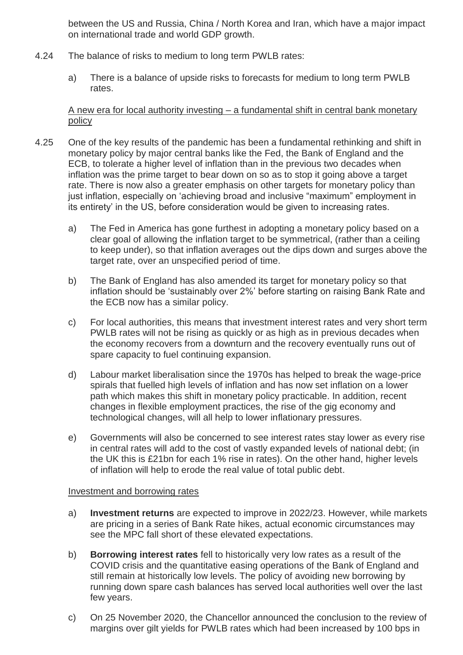between the US and Russia, China / North Korea and Iran, which have a major impact on international trade and world GDP growth.

- 4.24 The balance of risks to medium to long term PWLB rates:
	- a) There is a balance of upside risks to forecasts for medium to long term PWLB rates.

# A new era for local authority investing – a fundamental shift in central bank monetary policy

- 4.25 One of the key results of the pandemic has been a fundamental rethinking and shift in monetary policy by major central banks like the Fed, the Bank of England and the ECB, to tolerate a higher level of inflation than in the previous two decades when inflation was the prime target to bear down on so as to stop it going above a target rate. There is now also a greater emphasis on other targets for monetary policy than just inflation, especially on 'achieving broad and inclusive "maximum" employment in its entirety' in the US, before consideration would be given to increasing rates.
	- a) The Fed in America has gone furthest in adopting a monetary policy based on a clear goal of allowing the inflation target to be symmetrical, (rather than a ceiling to keep under), so that inflation averages out the dips down and surges above the target rate, over an unspecified period of time.
	- b) The Bank of England has also amended its target for monetary policy so that inflation should be 'sustainably over 2%' before starting on raising Bank Rate and the ECB now has a similar policy.
	- c) For local authorities, this means that investment interest rates and very short term PWLB rates will not be rising as quickly or as high as in previous decades when the economy recovers from a downturn and the recovery eventually runs out of spare capacity to fuel continuing expansion.
	- d) Labour market liberalisation since the 1970s has helped to break the wage-price spirals that fuelled high levels of inflation and has now set inflation on a lower path which makes this shift in monetary policy practicable. In addition, recent changes in flexible employment practices, the rise of the gig economy and technological changes, will all help to lower inflationary pressures.
	- e) Governments will also be concerned to see interest rates stay lower as every rise in central rates will add to the cost of vastly expanded levels of national debt; (in the UK this is £21bn for each 1% rise in rates). On the other hand, higher levels of inflation will help to erode the real value of total public debt.

#### Investment and borrowing rates

- a) **Investment returns** are expected to improve in 2022/23. However, while markets are pricing in a series of Bank Rate hikes, actual economic circumstances may see the MPC fall short of these elevated expectations.
- b) **Borrowing interest rates** fell to historically very low rates as a result of the COVID crisis and the quantitative easing operations of the Bank of England and still remain at historically low levels. The policy of avoiding new borrowing by running down spare cash balances has served local authorities well over the last few years.
- c) On 25 November 2020, the Chancellor announced the conclusion to the review of margins over gilt yields for PWLB rates which had been increased by 100 bps in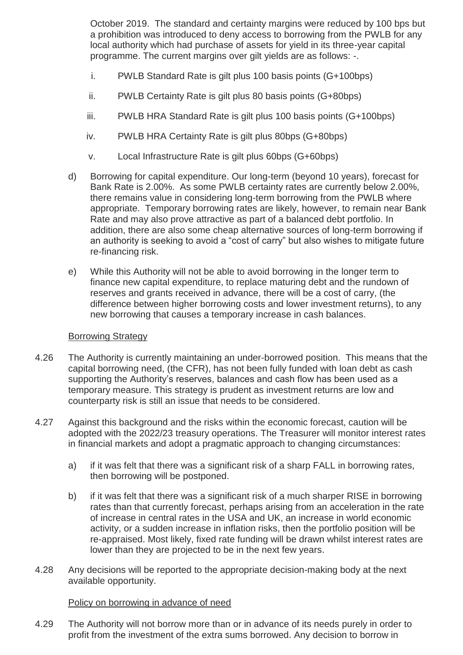October 2019. The standard and certainty margins were reduced by 100 bps but a prohibition was introduced to deny access to borrowing from the PWLB for any local authority which had purchase of assets for yield in its three-year capital programme. The current margins over gilt yields are as follows: -.

- i. PWLB Standard Rate is gilt plus 100 basis points (G+100bps)
- ii. PWLB Certainty Rate is gilt plus 80 basis points (G+80bps)
- iii. PWLB HRA Standard Rate is gilt plus 100 basis points (G+100bps)
- iv. PWLB HRA Certainty Rate is gilt plus 80bps (G+80bps)
- v. Local Infrastructure Rate is gilt plus 60bps (G+60bps)
- d) Borrowing for capital expenditure. Our long-term (beyond 10 years), forecast for Bank Rate is 2.00%. As some PWLB certainty rates are currently below 2.00%, there remains value in considering long-term borrowing from the PWLB where appropriate. Temporary borrowing rates are likely, however, to remain near Bank Rate and may also prove attractive as part of a balanced debt portfolio. In addition, there are also some cheap alternative sources of long-term borrowing if an authority is seeking to avoid a "cost of carry" but also wishes to mitigate future re-financing risk.
- e) While this Authority will not be able to avoid borrowing in the longer term to finance new capital expenditure, to replace maturing debt and the rundown of reserves and grants received in advance, there will be a cost of carry, (the difference between higher borrowing costs and lower investment returns), to any new borrowing that causes a temporary increase in cash balances.

#### Borrowing Strategy

- 4.26 The Authority is currently maintaining an under-borrowed position. This means that the capital borrowing need, (the CFR), has not been fully funded with loan debt as cash supporting the Authority's reserves, balances and cash flow has been used as a temporary measure. This strategy is prudent as investment returns are low and counterparty risk is still an issue that needs to be considered.
- 4.27 Against this background and the risks within the economic forecast, caution will be adopted with the 2022/23 treasury operations. The Treasurer will monitor interest rates in financial markets and adopt a pragmatic approach to changing circumstances:
	- a) if it was felt that there was a significant risk of a sharp FALL in borrowing rates, then borrowing will be postponed.
	- b) if it was felt that there was a significant risk of a much sharper RISE in borrowing rates than that currently forecast, perhaps arising from an acceleration in the rate of increase in central rates in the USA and UK, an increase in world economic activity, or a sudden increase in inflation risks, then the portfolio position will be re-appraised. Most likely, fixed rate funding will be drawn whilst interest rates are lower than they are projected to be in the next few years.
- 4.28 Any decisions will be reported to the appropriate decision-making body at the next available opportunity.

#### Policy on borrowing in advance of need

4.29 The Authority will not borrow more than or in advance of its needs purely in order to profit from the investment of the extra sums borrowed. Any decision to borrow in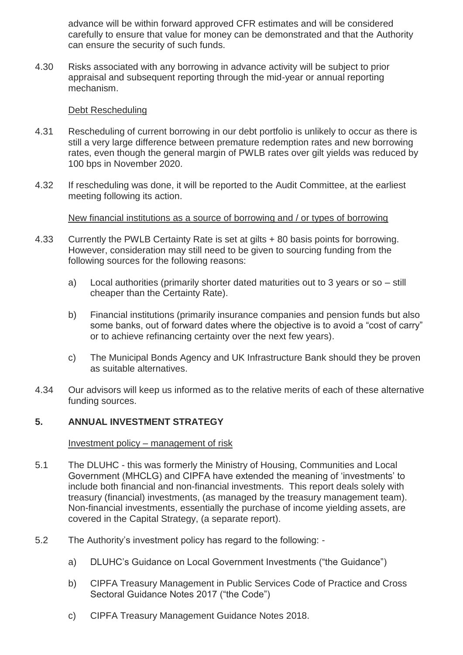advance will be within forward approved CFR estimates and will be considered carefully to ensure that value for money can be demonstrated and that the Authority can ensure the security of such funds.

4.30 Risks associated with any borrowing in advance activity will be subject to prior appraisal and subsequent reporting through the mid-year or annual reporting mechanism.

#### Debt Rescheduling

- 4.31 Rescheduling of current borrowing in our debt portfolio is unlikely to occur as there is still a very large difference between premature redemption rates and new borrowing rates, even though the general margin of PWLB rates over gilt yields was reduced by 100 bps in November 2020.
- 4.32 If rescheduling was done, it will be reported to the Audit Committee, at the earliest meeting following its action.

New financial institutions as a source of borrowing and / or types of borrowing

- 4.33 Currently the PWLB Certainty Rate is set at gilts + 80 basis points for borrowing. However, consideration may still need to be given to sourcing funding from the following sources for the following reasons:
	- a) Local authorities (primarily shorter dated maturities out to 3 years or so still cheaper than the Certainty Rate).
	- b) Financial institutions (primarily insurance companies and pension funds but also some banks, out of forward dates where the objective is to avoid a "cost of carry" or to achieve refinancing certainty over the next few years).
	- c) The Municipal Bonds Agency and UK Infrastructure Bank should they be proven as suitable alternatives.
- 4.34 Our advisors will keep us informed as to the relative merits of each of these alternative funding sources.

#### **5. ANNUAL INVESTMENT STRATEGY**

#### Investment policy – management of risk

- 5.1 The DLUHC this was formerly the Ministry of Housing, Communities and Local Government (MHCLG) and CIPFA have extended the meaning of 'investments' to include both financial and non-financial investments. This report deals solely with treasury (financial) investments, (as managed by the treasury management team). Non-financial investments, essentially the purchase of income yielding assets, are covered in the Capital Strategy, (a separate report).
- 5.2 The Authority's investment policy has regard to the following:
	- a) DLUHC's Guidance on Local Government Investments ("the Guidance")
	- b) CIPFA Treasury Management in Public Services Code of Practice and Cross Sectoral Guidance Notes 2017 ("the Code")
	- c) CIPFA Treasury Management Guidance Notes 2018.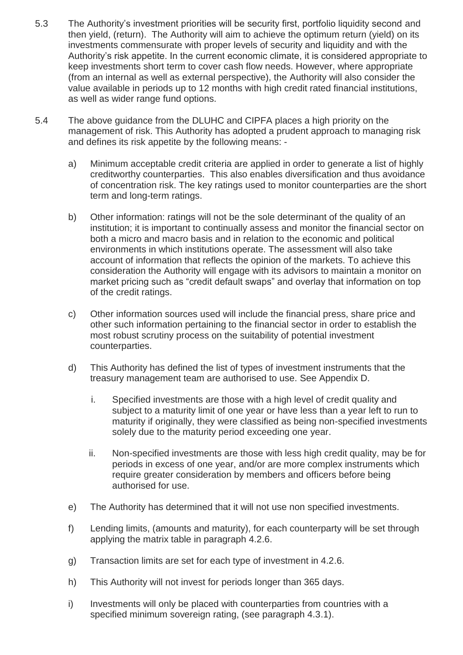- 5.3 The Authority's investment priorities will be security first, portfolio liquidity second and then yield, (return). The Authority will aim to achieve the optimum return (yield) on its investments commensurate with proper levels of security and liquidity and with the Authority's risk appetite. In the current economic climate, it is considered appropriate to keep investments short term to cover cash flow needs. However, where appropriate (from an internal as well as external perspective), the Authority will also consider the value available in periods up to 12 months with high credit rated financial institutions, as well as wider range fund options.
- 5.4 The above guidance from the DLUHC and CIPFA places a high priority on the management of risk. This Authority has adopted a prudent approach to managing risk and defines its risk appetite by the following means:
	- a) Minimum acceptable credit criteria are applied in order to generate a list of highly creditworthy counterparties. This also enables diversification and thus avoidance of concentration risk. The key ratings used to monitor counterparties are the short term and long-term ratings.
	- b) Other information: ratings will not be the sole determinant of the quality of an institution; it is important to continually assess and monitor the financial sector on both a micro and macro basis and in relation to the economic and political environments in which institutions operate. The assessment will also take account of information that reflects the opinion of the markets. To achieve this consideration the Authority will engage with its advisors to maintain a monitor on market pricing such as "credit default swaps" and overlay that information on top of the credit ratings.
	- c) Other information sources used will include the financial press, share price and other such information pertaining to the financial sector in order to establish the most robust scrutiny process on the suitability of potential investment counterparties.
	- d) This Authority has defined the list of types of investment instruments that the treasury management team are authorised to use. See Appendix D.
		- i. Specified investments are those with a high level of credit quality and subject to a maturity limit of one year or have less than a year left to run to maturity if originally, they were classified as being non-specified investments solely due to the maturity period exceeding one year.
		- ii. Non-specified investments are those with less high credit quality, may be for periods in excess of one year, and/or are more complex instruments which require greater consideration by members and officers before being authorised for use.
	- e) The Authority has determined that it will not use non specified investments.
	- f) Lending limits, (amounts and maturity), for each counterparty will be set through applying the matrix table in paragraph 4.2.6.
	- g) Transaction limits are set for each type of investment in 4.2.6.
	- h) This Authority will not invest for periods longer than 365 days.
	- i) Investments will only be placed with counterparties from countries with a specified minimum sovereign rating, (see paragraph 4.3.1).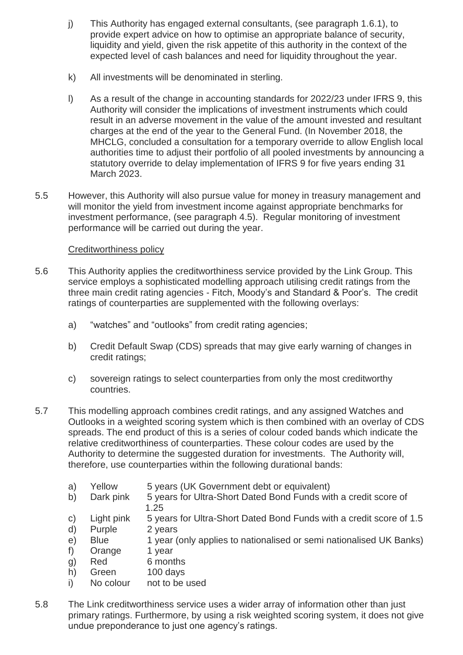- j) This Authority has engaged external consultants, (see paragraph 1.6.1), to provide expert advice on how to optimise an appropriate balance of security, liquidity and yield, given the risk appetite of this authority in the context of the expected level of cash balances and need for liquidity throughout the year.
- k) All investments will be denominated in sterling.
- l) As a result of the change in accounting standards for 2022/23 under IFRS 9, this Authority will consider the implications of investment instruments which could result in an adverse movement in the value of the amount invested and resultant charges at the end of the year to the General Fund. (In November 2018, the MHCLG, concluded a consultation for a temporary override to allow English local authorities time to adjust their portfolio of all pooled investments by announcing a statutory override to delay implementation of IFRS 9 for five years ending 31 March 2023.
- 5.5 However, this Authority will also pursue value for money in treasury management and will monitor the yield from investment income against appropriate benchmarks for investment performance, (see paragraph 4.5). Regular monitoring of investment performance will be carried out during the year.

# Creditworthiness policy

- 5.6 This Authority applies the creditworthiness service provided by the Link Group. This service employs a sophisticated modelling approach utilising credit ratings from the three main credit rating agencies - Fitch, Moody's and Standard & Poor's. The credit ratings of counterparties are supplemented with the following overlays:
	- a) "watches" and "outlooks" from credit rating agencies;
	- b) Credit Default Swap (CDS) spreads that may give early warning of changes in credit ratings;
	- c) sovereign ratings to select counterparties from only the most creditworthy countries.
- 5.7 This modelling approach combines credit ratings, and any assigned Watches and Outlooks in a weighted scoring system which is then combined with an overlay of CDS spreads. The end product of this is a series of colour coded bands which indicate the relative creditworthiness of counterparties. These colour codes are used by the Authority to determine the suggested duration for investments. The Authority will, therefore, use counterparties within the following durational bands:
	- a) Yellow 5 years (UK Government debt or equivalent)
	- b) Dark pink 5 years for Ultra-Short Dated Bond Funds with a credit score of 1.25
	- c) Light pink 5 years for Ultra-Short Dated Bond Funds with a credit score of 1.5
	- d) Purple 2 years
	- e) Blue 1 year (only applies to nationalised or semi nationalised UK Banks)
	- f) Orange 1 year
	- g) Red 6 months
	- h) Green 100 days
	- i) No colour not to be used
- 5.8 The Link creditworthiness service uses a wider array of information other than just primary ratings. Furthermore, by using a risk weighted scoring system, it does not give undue preponderance to just one agency's ratings.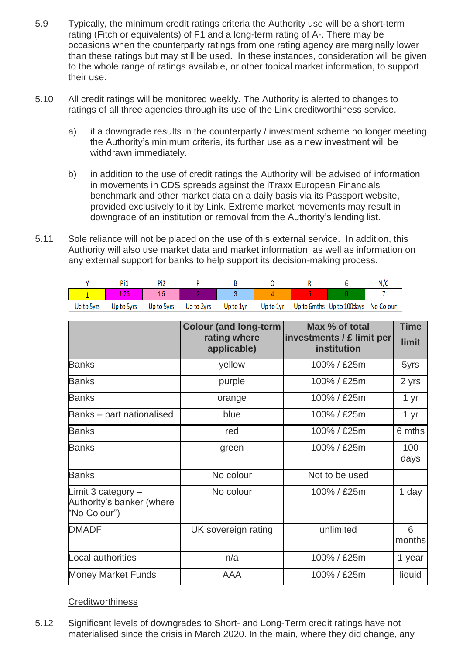- 5.9 Typically, the minimum credit ratings criteria the Authority use will be a short-term rating (Fitch or equivalents) of F1 and a long-term rating of A-. There may be occasions when the counterparty ratings from one rating agency are marginally lower than these ratings but may still be used. In these instances, consideration will be given to the whole range of ratings available, or other topical market information, to support their use.
- 5.10 All credit ratings will be monitored weekly. The Authority is alerted to changes to ratings of all three agencies through its use of the Link creditworthiness service.
	- a) if a downgrade results in the counterparty / investment scheme no longer meeting the Authority's minimum criteria, its further use as a new investment will be withdrawn immediately.
	- b) in addition to the use of credit ratings the Authority will be advised of information in movements in CDS spreads against the iTraxx European Financials benchmark and other market data on a daily basis via its Passport website, provided exclusively to it by Link. Extreme market movements may result in downgrade of an institution or removal from the Authority's lending list.
- 5.11 Sole reliance will not be placed on the use of this external service. In addition, this Authority will also use market data and market information, as well as information on any external support for banks to help support its decision-making process.

| Up to 5yrs | Up to 5yrs | Up to 5vrs | Up to 2vrs | Up to 1vr |  | Up to 1yr Up to 6mths Up to 100days No Colour |  |
|------------|------------|------------|------------|-----------|--|-----------------------------------------------|--|

|                                                                   | <b>Colour (and long-term)</b><br>rating where<br>applicable) | Max % of total<br>investments / £ limit per<br>institution | <b>Time</b><br>limit |
|-------------------------------------------------------------------|--------------------------------------------------------------|------------------------------------------------------------|----------------------|
| <b>Banks</b>                                                      | yellow                                                       | 100% / £25m                                                | 5yrs                 |
| <b>Banks</b>                                                      | purple                                                       | 100% / £25m                                                | 2 yrs                |
| <b>Banks</b>                                                      | orange                                                       | 100% / £25m                                                | 1 yr                 |
| Banks – part nationalised                                         | blue                                                         | 100% / £25m                                                | 1 yr                 |
| <b>Banks</b>                                                      | red                                                          | 100% / £25m                                                | 6 mths               |
| <b>Banks</b>                                                      | green                                                        | 100% / £25m                                                | 100<br>days          |
| <b>Banks</b>                                                      | No colour                                                    | Not to be used                                             |                      |
| Limit 3 category $-$<br>Authority's banker (where<br>"No Colour") | No colour                                                    | 100% / £25m                                                | 1 day                |
| <b>DMADF</b>                                                      | UK sovereign rating                                          | unlimited                                                  | 6<br>months          |
| Local authorities                                                 | n/a                                                          | 100% / £25m                                                | 1 year               |
| <b>Money Market Funds</b>                                         | AAA                                                          | 100% / £25m                                                | liquid               |

**Creditworthiness** 

5.12 Significant levels of downgrades to Short- and Long-Term credit ratings have not materialised since the crisis in March 2020. In the main, where they did change, any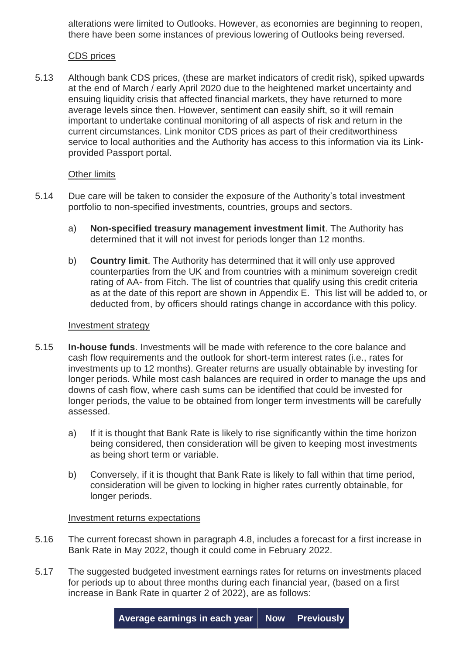alterations were limited to Outlooks. However, as economies are beginning to reopen, there have been some instances of previous lowering of Outlooks being reversed.

### CDS prices

5.13 Although bank CDS prices, (these are market indicators of credit risk), spiked upwards at the end of March / early April 2020 due to the heightened market uncertainty and ensuing liquidity crisis that affected financial markets, they have returned to more average levels since then. However, sentiment can easily shift, so it will remain important to undertake continual monitoring of all aspects of risk and return in the current circumstances. Link monitor CDS prices as part of their creditworthiness service to local authorities and the Authority has access to this information via its Linkprovided Passport portal.

# Other limits

- 5.14 Due care will be taken to consider the exposure of the Authority's total investment portfolio to non-specified investments, countries, groups and sectors.
	- a) **Non-specified treasury management investment limit**. The Authority has determined that it will not invest for periods longer than 12 months.
	- b) **Country limit**. The Authority has determined that it will only use approved counterparties from the UK and from countries with a minimum sovereign credit rating of AA- from Fitch. The list of countries that qualify using this credit criteria as at the date of this report are shown in Appendix E. This list will be added to, or deducted from, by officers should ratings change in accordance with this policy.

#### Investment strategy

- 5.15 **In-house funds**. Investments will be made with reference to the core balance and cash flow requirements and the outlook for short-term interest rates (i.e., rates for investments up to 12 months). Greater returns are usually obtainable by investing for longer periods. While most cash balances are required in order to manage the ups and downs of cash flow, where cash sums can be identified that could be invested for longer periods, the value to be obtained from longer term investments will be carefully assessed.
	- a) If it is thought that Bank Rate is likely to rise significantly within the time horizon being considered, then consideration will be given to keeping most investments as being short term or variable.
	- b) Conversely, if it is thought that Bank Rate is likely to fall within that time period, consideration will be given to locking in higher rates currently obtainable, for longer periods.

#### Investment returns expectations

- 5.16 The current forecast shown in paragraph 4.8, includes a forecast for a first increase in Bank Rate in May 2022, though it could come in February 2022.
- 5.17 The suggested budgeted investment earnings rates for returns on investments placed for periods up to about three months during each financial year, (based on a first increase in Bank Rate in quarter 2 of 2022), are as follows: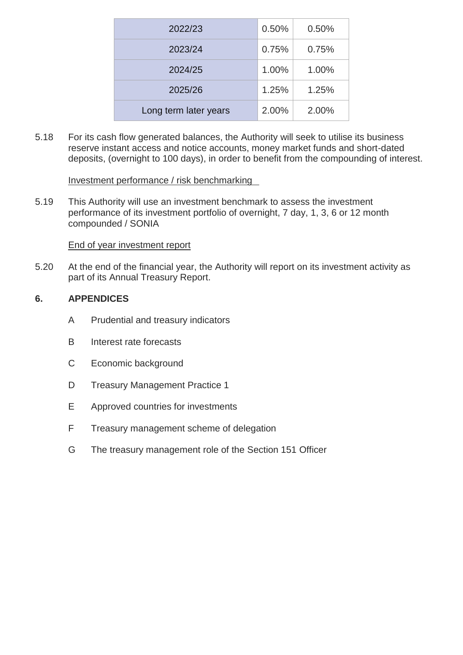| 2022/23               | 0.50% | 0.50% |
|-----------------------|-------|-------|
| 2023/24               | 0.75% | 0.75% |
| 2024/25               | 1.00% | 1.00% |
| 2025/26               | 1.25% | 1.25% |
| Long term later years | 2.00% | 2.00% |

5.18 For its cash flow generated balances, the Authority will seek to utilise its business reserve instant access and notice accounts, money market funds and short-dated deposits, (overnight to 100 days), in order to benefit from the compounding of interest.

#### Investment performance / risk benchmarking

5.19 This Authority will use an investment benchmark to assess the investment performance of its investment portfolio of overnight, 7 day, 1, 3, 6 or 12 month compounded / SONIA

End of year investment report

5.20 At the end of the financial year, the Authority will report on its investment activity as part of its Annual Treasury Report.

# **6. APPENDICES**

- A Prudential and treasury indicators
- B Interest rate forecasts
- C Economic background
- D Treasury Management Practice 1
- E Approved countries for investments
- F Treasury management scheme of delegation
- G The treasury management role of the Section 151 Officer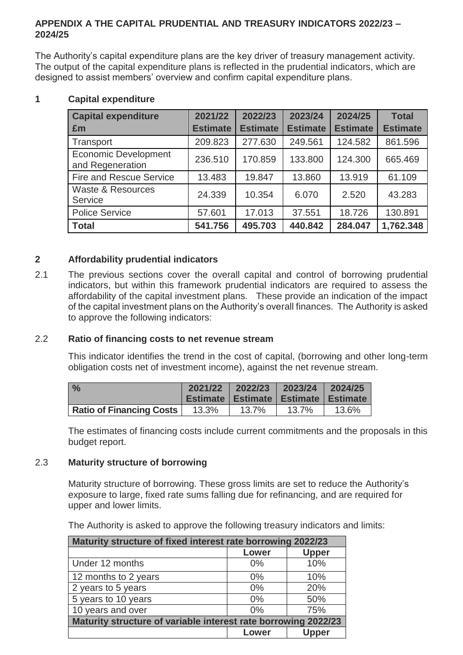# **APPENDIX A THE CAPITAL PRUDENTIAL AND TREASURY INDICATORS 2022/23 – 2024/25**

The Authority's capital expenditure plans are the key driver of treasury management activity. The output of the capital expenditure plans is reflected in the prudential indicators, which are designed to assist members' overview and confirm capital expenditure plans.

| <b>Capital expenditure</b>                      | 2021/22         | 2022/23         | 2023/24         | 2024/25         | <b>Total</b>    |
|-------------------------------------------------|-----------------|-----------------|-----------------|-----------------|-----------------|
| £m                                              | <b>Estimate</b> | <b>Estimate</b> | <b>Estimate</b> | <b>Estimate</b> | <b>Estimate</b> |
| Transport                                       | 209.823         | 277.630         | 249.561         | 124.582         | 861.596         |
| <b>Economic Development</b><br>and Regeneration | 236.510         | 170.859         | 133.800         | 124.300         | 665.469         |
| <b>Fire and Rescue Service</b>                  | 13.483          | 19.847          | 13.860          | 13.919          | 61.109          |
| <b>Waste &amp; Resources</b><br>Service         | 24.339          | 10.354          | 6.070           | 2.520           | 43.283          |
| <b>Police Service</b>                           | 57.601          | 17.013          | 37.551          | 18.726          | 130.891         |
| <b>Total</b>                                    | 541.756         | 495.703         | 440.842         | 284.047         | 1,762.348       |

# **1 Capital expenditure**

# **2 Affordability prudential indicators**

2.1 The previous sections cover the overall capital and control of borrowing prudential indicators, but within this framework prudential indicators are required to assess the affordability of the capital investment plans. These provide an indication of the impact of the capital investment plans on the Authority's overall finances. The Authority is asked to approve the following indicators:

# 2.2 **Ratio of financing costs to net revenue stream**

This indicator identifies the trend in the cost of capital, (borrowing and other long-term obligation costs net of investment income), against the net revenue stream.

| $\frac{0}{0}$                   |       | 2021/22 2022/23 2023/24 2024/25                  |       |       |
|---------------------------------|-------|--------------------------------------------------|-------|-------|
|                                 |       | <b>Estimate   Estimate   Estimate   Estimate</b> |       |       |
| <b>Ratio of Financing Costs</b> | 13.3% | 13.7%                                            | 13.7% | 13.6% |

The estimates of financing costs include current commitments and the proposals in this budget report.

#### 2.3 **Maturity structure of borrowing**

Maturity structure of borrowing. These gross limits are set to reduce the Authority's exposure to large, fixed rate sums falling due for refinancing, and are required for upper and lower limits.

The Authority is asked to approve the following treasury indicators and limits:

| Maturity structure of fixed interest rate borrowing 2022/23    |       |              |  |  |
|----------------------------------------------------------------|-------|--------------|--|--|
|                                                                | Lower | <b>Upper</b> |  |  |
| Under 12 months                                                | 0%    | 10%          |  |  |
| 12 months to 2 years                                           | $0\%$ | 10%          |  |  |
| 2 years to 5 years                                             | $0\%$ | 20%          |  |  |
| 5 years to 10 years                                            | $0\%$ | 50%          |  |  |
| 10 years and over                                              | $0\%$ | 75%          |  |  |
| Maturity structure of variable interest rate borrowing 2022/23 |       |              |  |  |
|                                                                | Lower | Jpper        |  |  |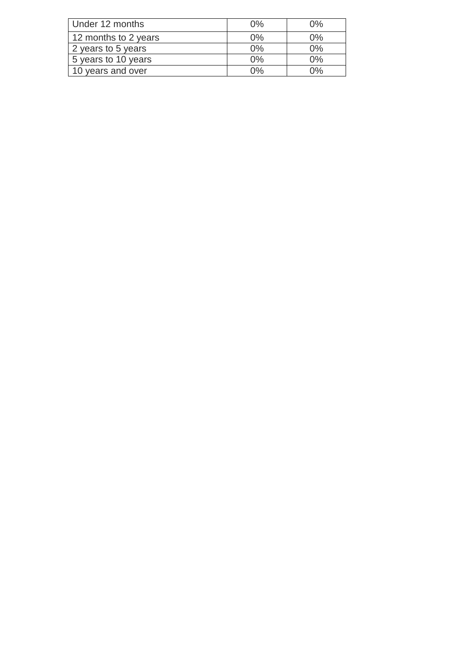| Under 12 months      | $0\%$ | በ% |
|----------------------|-------|----|
| 12 months to 2 years | $0\%$ | 0% |
| 2 years to 5 years   | 0%    | 0% |
| 5 years to 10 years  | 0%    | 0% |
| 10 years and over    | በ%    | ገ% |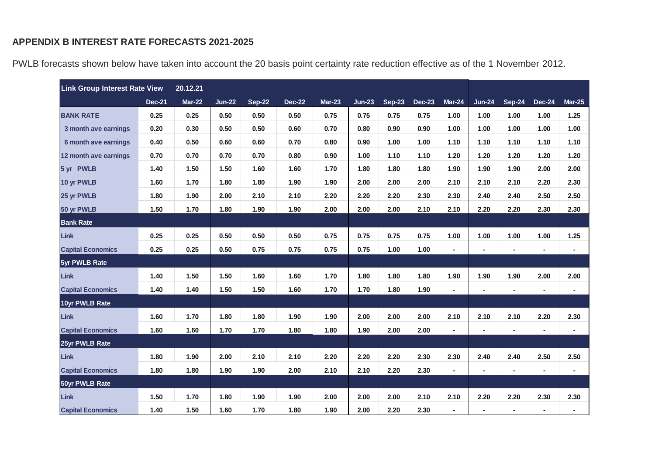# **APPENDIX B INTEREST RATE FORECASTS 2021-2025**

| <b>Link Group Interest Rate View</b> |               | 20.12.21      |               |               |               |               |               |               |               |                |                |                |               |               |
|--------------------------------------|---------------|---------------|---------------|---------------|---------------|---------------|---------------|---------------|---------------|----------------|----------------|----------------|---------------|---------------|
|                                      | <b>Dec-21</b> | <b>Mar-22</b> | <b>Jun-22</b> | <b>Sep-22</b> | <b>Dec-22</b> | <b>Mar-23</b> | <b>Jun-23</b> | <b>Sep-23</b> | <b>Dec-23</b> | Mar-24         | <b>Jun-24</b>  | <b>Sep-24</b>  | <b>Dec-24</b> | <b>Mar-25</b> |
| <b>BANK RATE</b>                     | 0.25          | 0.25          | 0.50          | 0.50          | 0.50          | 0.75          | 0.75          | 0.75          | 0.75          | 1.00           | 1.00           | 1.00           | 1.00          | 1.25          |
| 3 month ave earnings                 | 0.20          | 0.30          | 0.50          | 0.50          | 0.60          | 0.70          | 0.80          | 0.90          | 0.90          | 1.00           | 1.00           | 1.00           | 1.00          | 1.00          |
| 6 month ave earnings                 | 0.40          | 0.50          | 0.60          | 0.60          | 0.70          | 0.80          | 0.90          | 1.00          | 1.00          | 1.10           | 1.10           | 1.10           | 1.10          | 1.10          |
| 12 month ave earnings                | 0.70          | 0.70          | 0.70          | 0.70          | 0.80          | 0.90          | 1.00          | 1.10          | 1.10          | 1.20           | 1.20           | 1.20           | 1.20          | 1.20          |
| 5 yr PWLB                            | 1.40          | 1.50          | 1.50          | 1.60          | 1.60          | 1.70          | 1.80          | 1.80          | 1.80          | 1.90           | 1.90           | 1.90           | 2.00          | 2.00          |
| 10 yr PWLB                           | 1.60          | 1.70          | 1.80          | 1.80          | 1.90          | 1.90          | 2.00          | 2.00          | 2.00          | 2.10           | 2.10           | 2.10           | 2.20          | 2.30          |
| 25 yr PWLB                           | 1.80          | 1.90          | 2.00          | 2.10          | 2.10          | 2.20          | 2.20          | 2.20          | 2.30          | 2.30           | 2.40           | 2.40           | 2.50          | 2.50          |
| 50 yr PWLB                           | 1.50          | 1.70          | 1.80          | 1.90          | 1.90          | 2.00          | 2.00          | 2.00          | 2.10          | 2.10           | 2.20           | 2.20           | 2.30          | 2.30          |
| <b>Bank Rate</b>                     |               |               |               |               |               |               |               |               |               |                |                |                |               |               |
| <b>Link</b>                          | 0.25          | 0.25          | 0.50          | 0.50          | 0.50          | 0.75          | 0.75          | 0.75          | 0.75          | 1.00           | 1.00           | 1.00           | 1.00          | 1.25          |
| <b>Capital Economics</b>             | 0.25          | 0.25          | 0.50          | 0.75          | 0.75          | 0.75          | 0.75          | 1.00          | 1.00          | $\blacksquare$ | $\blacksquare$ |                |               |               |
| 5yr PWLB Rate                        |               |               |               |               |               |               |               |               |               |                |                |                |               |               |
| Link                                 | 1.40          | 1.50          | 1.50          | 1.60          | 1.60          | 1.70          | 1.80          | 1.80          | 1.80          | 1.90           | 1.90           | 1.90           | 2.00          | 2.00          |
| <b>Capital Economics</b>             | 1.40          | 1.40          | 1.50          | 1.50          | 1.60          | 1.70          | 1.70          | 1.80          | 1.90          | $\blacksquare$ | $\blacksquare$ | $\blacksquare$ |               |               |
| 10yr PWLB Rate                       |               |               |               |               |               |               |               |               |               |                |                |                |               |               |
| <b>Link</b>                          | 1.60          | 1.70          | 1.80          | 1.80          | 1.90          | 1.90          | 2.00          | 2.00          | 2.00          | 2.10           | 2.10           | 2.10           | 2.20          | 2.30          |
| <b>Capital Economics</b>             | 1.60          | 1.60          | 1.70          | 1.70          | 1.80          | 1.80          | 1.90          | 2.00          | 2.00          |                | $\blacksquare$ | $\blacksquare$ |               |               |
| 25yr PWLB Rate                       |               |               |               |               |               |               |               |               |               |                |                |                |               |               |
| <b>Link</b>                          | 1.80          | 1.90          | 2.00          | 2.10          | 2.10          | 2.20          | 2.20          | 2.20          | 2.30          | 2.30           | 2.40           | 2.40           | 2.50          | 2.50          |
| <b>Capital Economics</b>             | 1.80          | 1.80          | 1.90          | 1.90          | 2.00          | 2.10          | 2.10          | 2.20          | 2.30          | $\blacksquare$ | $\blacksquare$ | $\blacksquare$ |               |               |
| 50yr PWLB Rate                       |               |               |               |               |               |               |               |               |               |                |                |                |               |               |
| Link                                 | 1.50          | 1.70          | 1.80          | 1.90          | 1.90          | 2.00          | 2.00          | 2.00          | 2.10          | 2.10           | 2.20           | 2.20           | 2.30          | 2.30          |
| <b>Capital Economics</b>             | 1.40          | 1.50          | 1.60          | 1.70          | 1.80          | 1.90          | 2.00          | 2.20          | 2.30          |                |                |                |               |               |

PWLB forecasts shown below have taken into account the 20 basis point certainty rate reduction effective as of the 1 November 2012.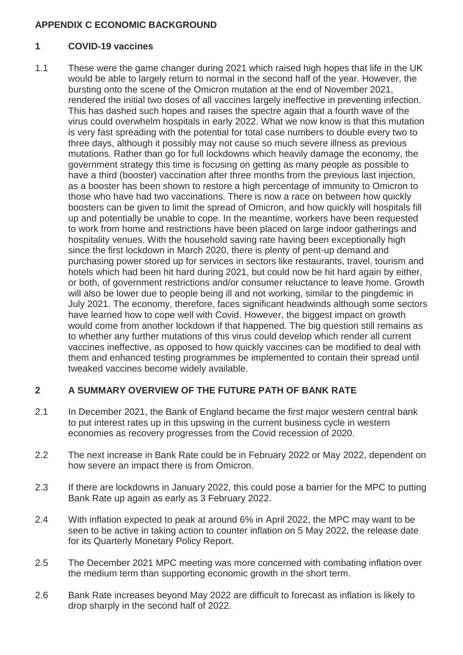# **APPENDIX C ECONOMIC BACKGROUND**

# **1 COVID-19 vaccines**

1.1 These were the game changer during 2021 which raised high hopes that life in the UK would be able to largely return to normal in the second half of the year. However, the bursting onto the scene of the Omicron mutation at the end of November 2021, rendered the initial two doses of all vaccines largely ineffective in preventing infection. This has dashed such hopes and raises the spectre again that a fourth wave of the virus could overwhelm hospitals in early 2022. What we now know is that this mutation is very fast spreading with the potential for total case numbers to double every two to three days, although it possibly may not cause so much severe illness as previous mutations. Rather than go for full lockdowns which heavily damage the economy, the government strategy this time is focusing on getting as many people as possible to have a third (booster) vaccination after three months from the previous last injection, as a booster has been shown to restore a high percentage of immunity to Omicron to those who have had two vaccinations. There is now a race on between how quickly boosters can be given to limit the spread of Omicron, and how quickly will hospitals fill up and potentially be unable to cope. In the meantime, workers have been requested to work from home and restrictions have been placed on large indoor gatherings and hospitality venues. With the household saving rate having been exceptionally high since the first lockdown in March 2020, there is plenty of pent-up demand and purchasing power stored up for services in sectors like restaurants, travel, tourism and hotels which had been hit hard during 2021, but could now be hit hard again by either, or both, of government restrictions and/or consumer reluctance to leave home. Growth will also be lower due to people being ill and not working, similar to the pingdemic in July 2021. The economy, therefore, faces significant headwinds although some sectors have learned how to cope well with Covid. However, the biggest impact on growth would come from another lockdown if that happened. The big question still remains as to whether any further mutations of this virus could develop which render all current vaccines ineffective, as opposed to how quickly vaccines can be modified to deal with them and enhanced testing programmes be implemented to contain their spread until tweaked vaccines become widely available.

# **2 A SUMMARY OVERVIEW OF THE FUTURE PATH OF BANK RATE**

- 2.1 In December 2021, the Bank of England became the first major western central bank to put interest rates up in this upswing in the current business cycle in western economies as recovery progresses from the Covid recession of 2020.
- 2.2 The next increase in Bank Rate could be in February 2022 or May 2022, dependent on how severe an impact there is from Omicron.
- 2.3 If there are lockdowns in January 2022, this could pose a barrier for the MPC to putting Bank Rate up again as early as 3 February 2022.
- 2.4 With inflation expected to peak at around 6% in April 2022, the MPC may want to be seen to be active in taking action to counter inflation on 5 May 2022, the release date for its Quarterly Monetary Policy Report.
- 2.5 The December 2021 MPC meeting was more concerned with combating inflation over the medium term than supporting economic growth in the short term.
- 2.6 Bank Rate increases beyond May 2022 are difficult to forecast as inflation is likely to drop sharply in the second half of 2022.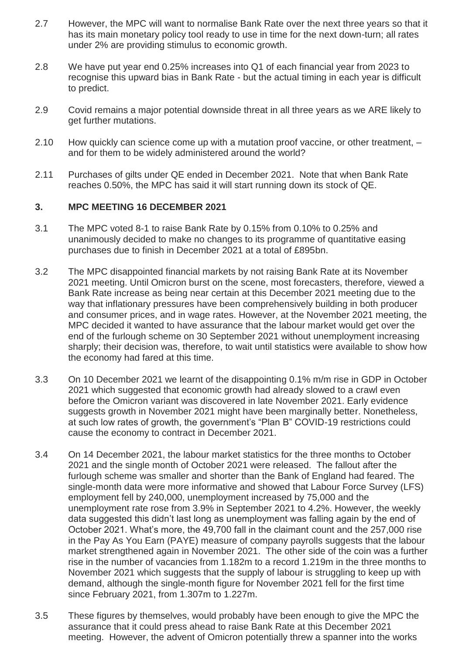- 2.7 However, the MPC will want to normalise Bank Rate over the next three years so that it has its main monetary policy tool ready to use in time for the next down-turn; all rates under 2% are providing stimulus to economic growth.
- 2.8 We have put year end 0.25% increases into Q1 of each financial year from 2023 to recognise this upward bias in Bank Rate - but the actual timing in each year is difficult to predict.
- 2.9 Covid remains a major potential downside threat in all three years as we ARE likely to get further mutations.
- 2.10 How quickly can science come up with a mutation proof vaccine, or other treatment, and for them to be widely administered around the world?
- 2.11 Purchases of gilts under QE ended in December 2021. Note that when Bank Rate reaches 0.50%, the MPC has said it will start running down its stock of QE.

#### **3. MPC MEETING 16 DECEMBER 2021**

- 3.1 The MPC voted 8-1 to raise Bank Rate by 0.15% from 0.10% to 0.25% and unanimously decided to make no changes to its programme of quantitative easing purchases due to finish in December 2021 at a total of £895bn.
- 3.2 The MPC disappointed financial markets by not raising Bank Rate at its November 2021 meeting. Until Omicron burst on the scene, most forecasters, therefore, viewed a Bank Rate increase as being near certain at this December 2021 meeting due to the way that inflationary pressures have been comprehensively building in both producer and consumer prices, and in wage rates. However, at the November 2021 meeting, the MPC decided it wanted to have assurance that the labour market would get over the end of the furlough scheme on 30 September 2021 without unemployment increasing sharply; their decision was, therefore, to wait until statistics were available to show how the economy had fared at this time.
- 3.3 On 10 December 2021 we learnt of the disappointing 0.1% m/m rise in GDP in October 2021 which suggested that economic growth had already slowed to a crawl even before the Omicron variant was discovered in late November 2021. Early evidence suggests growth in November 2021 might have been marginally better. Nonetheless, at such low rates of growth, the government's "Plan B" COVID-19 restrictions could cause the economy to contract in December 2021.
- 3.4 On 14 December 2021, the labour market statistics for the three months to October 2021 and the single month of October 2021 were released. The fallout after the furlough scheme was smaller and shorter than the Bank of England had feared. The single-month data were more informative and showed that Labour Force Survey (LFS) employment fell by 240,000, unemployment increased by 75,000 and the unemployment rate rose from 3.9% in September 2021 to 4.2%. However, the weekly data suggested this didn't last long as unemployment was falling again by the end of October 2021. What's more, the 49,700 fall in the claimant count and the 257,000 rise in the Pay As You Earn (PAYE) measure of company payrolls suggests that the labour market strengthened again in November 2021. The other side of the coin was a further rise in the number of vacancies from 1.182m to a record 1.219m in the three months to November 2021 which suggests that the supply of labour is struggling to keep up with demand, although the single-month figure for November 2021 fell for the first time since February 2021, from 1.307m to 1.227m.
- 3.5 These figures by themselves, would probably have been enough to give the MPC the assurance that it could press ahead to raise Bank Rate at this December 2021 meeting. However, the advent of Omicron potentially threw a spanner into the works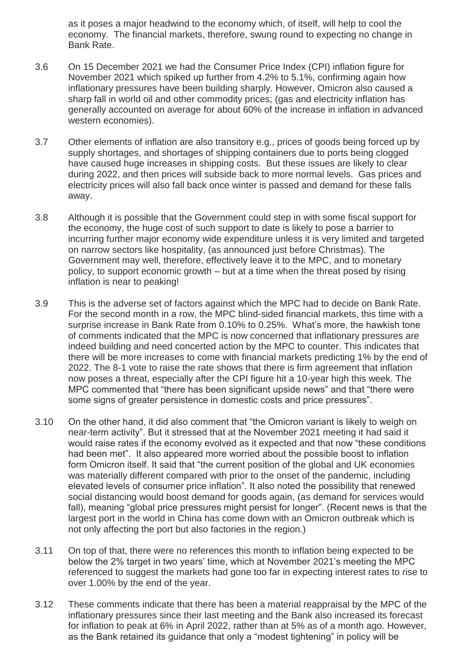as it poses a major headwind to the economy which, of itself, will help to cool the economy. The financial markets, therefore, swung round to expecting no change in Bank Rate.

- 3.6 On 15 December 2021 we had the Consumer Price Index (CPI) inflation figure for November 2021 which spiked up further from 4.2% to 5.1%, confirming again how inflationary pressures have been building sharply. However, Omicron also caused a sharp fall in world oil and other commodity prices; (gas and electricity inflation has generally accounted on average for about 60% of the increase in inflation in advanced western economies).
- 3.7 Other elements of inflation are also transitory e.g., prices of goods being forced up by supply shortages, and shortages of shipping containers due to ports being clogged have caused huge increases in shipping costs. But these issues are likely to clear during 2022, and then prices will subside back to more normal levels. Gas prices and electricity prices will also fall back once winter is passed and demand for these falls away.
- 3.8 Although it is possible that the Government could step in with some fiscal support for the economy, the huge cost of such support to date is likely to pose a barrier to incurring further major economy wide expenditure unless it is very limited and targeted on narrow sectors like hospitality, (as announced just before Christmas). The Government may well, therefore, effectively leave it to the MPC, and to monetary policy, to support economic growth – but at a time when the threat posed by rising inflation is near to peaking!
- 3.9 This is the adverse set of factors against which the MPC had to decide on Bank Rate. For the second month in a row, the MPC blind-sided financial markets, this time with a surprise increase in Bank Rate from 0.10% to 0.25%. What's more, the hawkish tone of comments indicated that the MPC is now concerned that inflationary pressures are indeed building and need concerted action by the MPC to counter. This indicates that there will be more increases to come with financial markets predicting 1% by the end of 2022. The 8-1 vote to raise the rate shows that there is firm agreement that inflation now poses a threat, especially after the CPI figure hit a 10-year high this week. The MPC commented that "there has been significant upside news" and that "there were some signs of greater persistence in domestic costs and price pressures".
- 3.10 On the other hand, it did also comment that "the Omicron variant is likely to weigh on near-term activity". But it stressed that at the November 2021 meeting it had said it would raise rates if the economy evolved as it expected and that now "these conditions had been met". It also appeared more worried about the possible boost to inflation form Omicron itself. It said that "the current position of the global and UK economies was materially different compared with prior to the onset of the pandemic, including elevated levels of consumer price inflation". It also noted the possibility that renewed social distancing would boost demand for goods again, (as demand for services would fall), meaning "global price pressures might persist for longer". (Recent news is that the largest port in the world in China has come down with an Omicron outbreak which is not only affecting the port but also factories in the region.)
- 3.11 On top of that, there were no references this month to inflation being expected to be below the 2% target in two years' time, which at November 2021's meeting the MPC referenced to suggest the markets had gone too far in expecting interest rates to rise to over 1.00% by the end of the year.
- 3.12 These comments indicate that there has been a material reappraisal by the MPC of the inflationary pressures since their last meeting and the Bank also increased its forecast for inflation to peak at 6% in April 2022, rather than at 5% as of a month ago. However, as the Bank retained its guidance that only a "modest tightening" in policy will be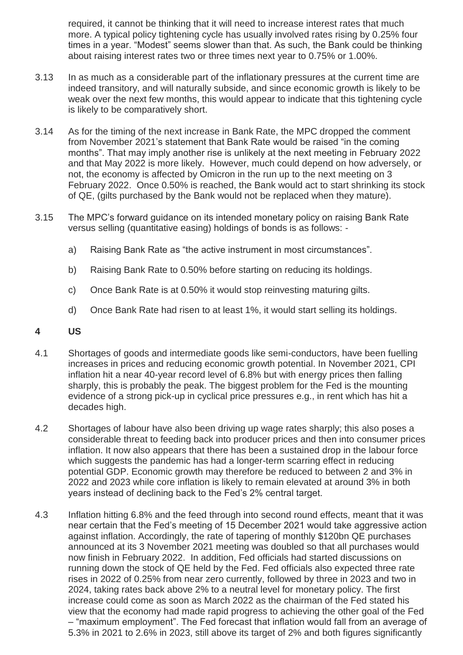required, it cannot be thinking that it will need to increase interest rates that much more. A typical policy tightening cycle has usually involved rates rising by 0.25% four times in a year. "Modest" seems slower than that. As such, the Bank could be thinking about raising interest rates two or three times next year to 0.75% or 1.00%.

- 3.13 In as much as a considerable part of the inflationary pressures at the current time are indeed transitory, and will naturally subside, and since economic growth is likely to be weak over the next few months, this would appear to indicate that this tightening cycle is likely to be comparatively short.
- 3.14 As for the timing of the next increase in Bank Rate, the MPC dropped the comment from November 2021's statement that Bank Rate would be raised "in the coming months". That may imply another rise is unlikely at the next meeting in February 2022 and that May 2022 is more likely. However, much could depend on how adversely, or not, the economy is affected by Omicron in the run up to the next meeting on 3 February 2022. Once 0.50% is reached, the Bank would act to start shrinking its stock of QE, (gilts purchased by the Bank would not be replaced when they mature).
- 3.15 The MPC's forward guidance on its intended monetary policy on raising Bank Rate versus selling (quantitative easing) holdings of bonds is as follows:
	- a) Raising Bank Rate as "the active instrument in most circumstances".
	- b) Raising Bank Rate to 0.50% before starting on reducing its holdings.
	- c) Once Bank Rate is at 0.50% it would stop reinvesting maturing gilts.
	- d) Once Bank Rate had risen to at least 1%, it would start selling its holdings.
- **4 US**
- 4.1 Shortages of goods and intermediate goods like semi-conductors, have been fuelling increases in prices and reducing economic growth potential. In November 2021, CPI inflation hit a near 40-year record level of 6.8% but with energy prices then falling sharply, this is probably the peak. The biggest problem for the Fed is the mounting evidence of a strong pick-up in cyclical price pressures e.g., in rent which has hit a decades high.
- 4.2 Shortages of labour have also been driving up wage rates sharply; this also poses a considerable threat to feeding back into producer prices and then into consumer prices inflation. It now also appears that there has been a sustained drop in the labour force which suggests the pandemic has had a longer-term scarring effect in reducing potential GDP. Economic growth may therefore be reduced to between 2 and 3% in 2022 and 2023 while core inflation is likely to remain elevated at around 3% in both years instead of declining back to the Fed's 2% central target.
- 4.3 Inflation hitting 6.8% and the feed through into second round effects, meant that it was near certain that the Fed's meeting of 15 December 2021 would take aggressive action against inflation. Accordingly, the rate of tapering of monthly \$120bn QE purchases announced at its 3 November 2021 meeting was doubled so that all purchases would now finish in February 2022. In addition, Fed officials had started discussions on running down the stock of QE held by the Fed. Fed officials also expected three rate rises in 2022 of 0.25% from near zero currently, followed by three in 2023 and two in 2024, taking rates back above 2% to a neutral level for monetary policy. The first increase could come as soon as March 2022 as the chairman of the Fed stated his view that the economy had made rapid progress to achieving the other goal of the Fed – "maximum employment". The Fed forecast that inflation would fall from an average of 5.3% in 2021 to 2.6% in 2023, still above its target of 2% and both figures significantly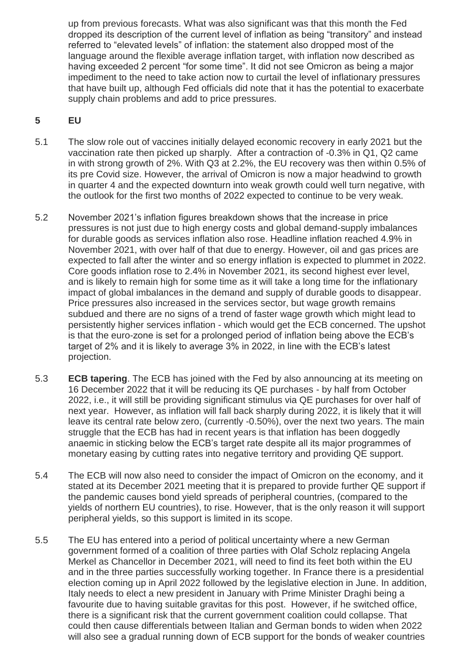up from previous forecasts. What was also significant was that this month the Fed dropped its description of the current level of inflation as being "transitory" and instead referred to "elevated levels" of inflation: the statement also dropped most of the language around the flexible average inflation target, with inflation now described as having exceeded 2 percent "for some time". It did not see Omicron as being a major impediment to the need to take action now to curtail the level of inflationary pressures that have built up, although Fed officials did note that it has the potential to exacerbate supply chain problems and add to price pressures.

# **5 EU**

- 5.1 The slow role out of vaccines initially delayed economic recovery in early 2021 but the vaccination rate then picked up sharply. After a contraction of -0.3% in Q1, Q2 came in with strong growth of 2%. With Q3 at 2.2%, the EU recovery was then within 0.5% of its pre Covid size. However, the arrival of Omicron is now a major headwind to growth in quarter 4 and the expected downturn into weak growth could well turn negative, with the outlook for the first two months of 2022 expected to continue to be very weak.
- 5.2 November 2021's inflation figures breakdown shows that the increase in price pressures is not just due to high energy costs and global demand-supply imbalances for durable goods as services inflation also rose. Headline inflation reached 4.9% in November 2021, with over half of that due to energy. However, oil and gas prices are expected to fall after the winter and so energy inflation is expected to plummet in 2022. Core goods inflation rose to 2.4% in November 2021, its second highest ever level, and is likely to remain high for some time as it will take a long time for the inflationary impact of global imbalances in the demand and supply of durable goods to disappear. Price pressures also increased in the services sector, but wage growth remains subdued and there are no signs of a trend of faster wage growth which might lead to persistently higher services inflation - which would get the ECB concerned. The upshot is that the euro-zone is set for a prolonged period of inflation being above the ECB's target of 2% and it is likely to average 3% in 2022, in line with the ECB's latest projection.
- 5.3 **ECB tapering**. The ECB has joined with the Fed by also announcing at its meeting on 16 December 2022 that it will be reducing its QE purchases - by half from October 2022, i.e., it will still be providing significant stimulus via QE purchases for over half of next year. However, as inflation will fall back sharply during 2022, it is likely that it will leave its central rate below zero, (currently -0.50%), over the next two years. The main struggle that the ECB has had in recent years is that inflation has been doggedly anaemic in sticking below the ECB's target rate despite all its major programmes of monetary easing by cutting rates into negative territory and providing QE support.
- 5.4 The ECB will now also need to consider the impact of Omicron on the economy, and it stated at its December 2021 meeting that it is prepared to provide further QE support if the pandemic causes bond yield spreads of peripheral countries, (compared to the yields of northern EU countries), to rise. However, that is the only reason it will support peripheral yields, so this support is limited in its scope.
- 5.5 The EU has entered into a period of political uncertainty where a new German government formed of a coalition of three parties with Olaf Scholz replacing Angela Merkel as Chancellor in December 2021, will need to find its feet both within the EU and in the three parties successfully working together. In France there is a presidential election coming up in April 2022 followed by the legislative election in June. In addition, Italy needs to elect a new president in January with Prime Minister Draghi being a favourite due to having suitable gravitas for this post. However, if he switched office, there is a significant risk that the current government coalition could collapse. That could then cause differentials between Italian and German bonds to widen when 2022 will also see a gradual running down of ECB support for the bonds of weaker countries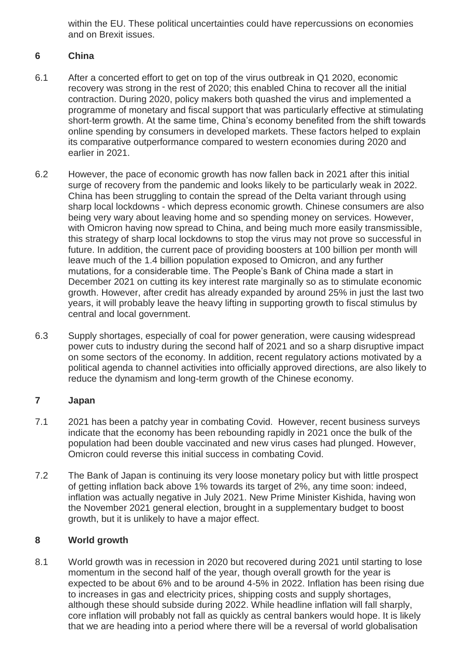within the EU. These political uncertainties could have repercussions on economies and on Brexit issues.

# **6 China**

- 6.1 After a concerted effort to get on top of the virus outbreak in Q1 2020, economic recovery was strong in the rest of 2020; this enabled China to recover all the initial contraction. During 2020, policy makers both quashed the virus and implemented a programme of monetary and fiscal support that was particularly effective at stimulating short-term growth. At the same time, China's economy benefited from the shift towards online spending by consumers in developed markets. These factors helped to explain its comparative outperformance compared to western economies during 2020 and earlier in 2021.
- 6.2 However, the pace of economic growth has now fallen back in 2021 after this initial surge of recovery from the pandemic and looks likely to be particularly weak in 2022. China has been struggling to contain the spread of the Delta variant through using sharp local lockdowns - which depress economic growth. Chinese consumers are also being very wary about leaving home and so spending money on services. However, with Omicron having now spread to China, and being much more easily transmissible, this strategy of sharp local lockdowns to stop the virus may not prove so successful in future. In addition, the current pace of providing boosters at 100 billion per month will leave much of the 1.4 billion population exposed to Omicron, and any further mutations, for a considerable time. The People's Bank of China made a start in December 2021 on cutting its key interest rate marginally so as to stimulate economic growth. However, after credit has already expanded by around 25% in just the last two years, it will probably leave the heavy lifting in supporting growth to fiscal stimulus by central and local government.
- 6.3 Supply shortages, especially of coal for power generation, were causing widespread power cuts to industry during the second half of 2021 and so a sharp disruptive impact on some sectors of the economy. In addition, recent regulatory actions motivated by a political agenda to channel activities into officially approved directions, are also likely to reduce the dynamism and long-term growth of the Chinese economy.

# **7 Japan**

- 7.1 2021 has been a patchy year in combating Covid. However, recent business surveys indicate that the economy has been rebounding rapidly in 2021 once the bulk of the population had been double vaccinated and new virus cases had plunged. However, Omicron could reverse this initial success in combating Covid.
- 7.2 The Bank of Japan is continuing its very loose monetary policy but with little prospect of getting inflation back above 1% towards its target of 2%, any time soon: indeed, inflation was actually negative in July 2021. New Prime Minister Kishida, having won the November 2021 general election, brought in a supplementary budget to boost growth, but it is unlikely to have a major effect.

# **8 World growth**

8.1 World growth was in recession in 2020 but recovered during 2021 until starting to lose momentum in the second half of the year, though overall growth for the year is expected to be about 6% and to be around 4-5% in 2022. Inflation has been rising due to increases in gas and electricity prices, shipping costs and supply shortages, although these should subside during 2022. While headline inflation will fall sharply, core inflation will probably not fall as quickly as central bankers would hope. It is likely that we are heading into a period where there will be a reversal of world globalisation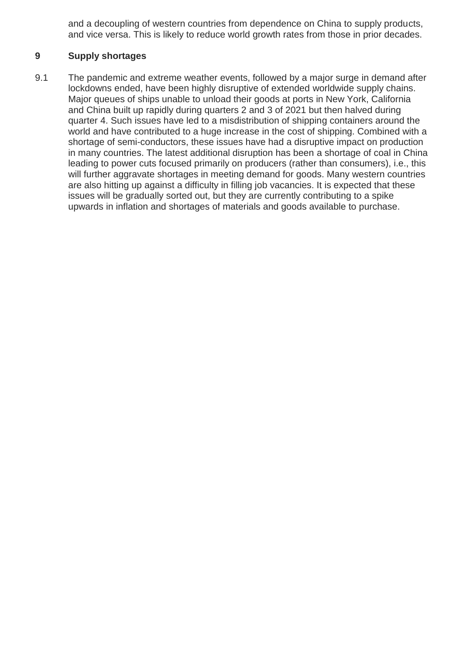and a decoupling of western countries from dependence on China to supply products, and vice versa. This is likely to reduce world growth rates from those in prior decades.

# **9 Supply shortages**

9.1 The pandemic and extreme weather events, followed by a major surge in demand after lockdowns ended, have been highly disruptive of extended worldwide supply chains. Major queues of ships unable to unload their goods at ports in New York, California and China built up rapidly during quarters 2 and 3 of 2021 but then halved during quarter 4. Such issues have led to a misdistribution of shipping containers around the world and have contributed to a huge increase in the cost of shipping. Combined with a shortage of semi-conductors, these issues have had a disruptive impact on production in many countries. The latest additional disruption has been a shortage of coal in China leading to power cuts focused primarily on producers (rather than consumers), i.e., this will further aggravate shortages in meeting demand for goods. Many western countries are also hitting up against a difficulty in filling job vacancies. It is expected that these issues will be gradually sorted out, but they are currently contributing to a spike upwards in inflation and shortages of materials and goods available to purchase.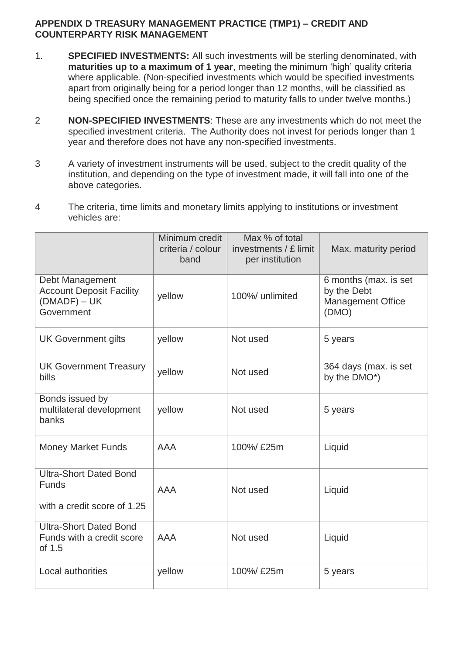# **APPENDIX D TREASURY MANAGEMENT PRACTICE (TMP1) – CREDIT AND COUNTERPARTY RISK MANAGEMENT**

- 1. **SPECIFIED INVESTMENTS:** All such investments will be sterling denominated, with **maturities up to a maximum of 1 year**, meeting the minimum 'high' quality criteria where applicable*.* (Non-specified investments which would be specified investments apart from originally being for a period longer than 12 months, will be classified as being specified once the remaining period to maturity falls to under twelve months.)
- 2 **NON-SPECIFIED INVESTMENTS**: These are any investments which do not meet the specified investment criteria. The Authority does not invest for periods longer than 1 year and therefore does not have any non-specified investments.
- 3 A variety of investment instruments will be used, subject to the credit quality of the institution, and depending on the type of investment made, it will fall into one of the above categories.
- 4 The criteria, time limits and monetary limits applying to institutions or investment vehicles are:

|                                                                                    | Minimum credit<br>criteria / colour<br>band | Max % of total<br>investments / £ limit<br>per institution | Max. maturity period                                                      |
|------------------------------------------------------------------------------------|---------------------------------------------|------------------------------------------------------------|---------------------------------------------------------------------------|
| Debt Management<br><b>Account Deposit Facility</b><br>$(DMADF) - UK$<br>Government | yellow                                      | 100%/ unlimited                                            | 6 months (max. is set<br>by the Debt<br><b>Management Office</b><br>(DMO) |
| <b>UK Government gilts</b>                                                         | yellow                                      | Not used                                                   | 5 years                                                                   |
| <b>UK Government Treasury</b><br>bills                                             | yellow                                      | Not used                                                   | 364 days (max. is set<br>by the DMO*)                                     |
| Bonds issued by<br>multilateral development<br>banks                               | yellow                                      | Not used                                                   | 5 years                                                                   |
| <b>Money Market Funds</b>                                                          | <b>AAA</b>                                  | 100%/ £25m                                                 | Liquid                                                                    |
| <b>Ultra-Short Dated Bond</b><br><b>Funds</b><br>with a credit score of 1.25       | <b>AAA</b>                                  | Not used                                                   | Liquid                                                                    |
| <b>Ultra-Short Dated Bond</b><br>Funds with a credit score<br>of 1.5               | <b>AAA</b>                                  | Not used                                                   | Liquid                                                                    |
| Local authorities                                                                  | yellow                                      | 100%/ £25m                                                 | 5 years                                                                   |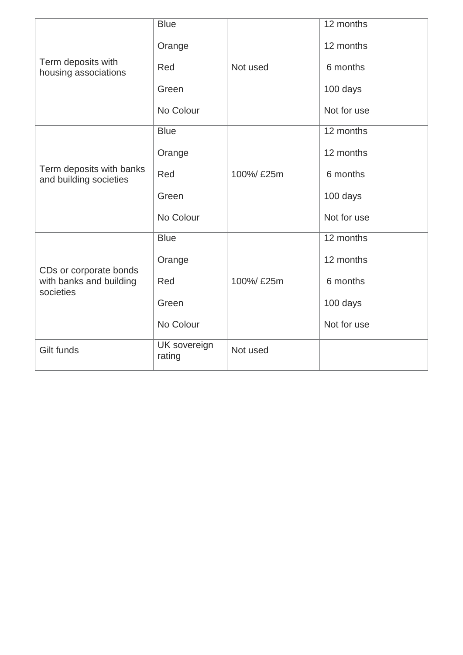|                                                    | <b>Blue</b>            |            | 12 months   |
|----------------------------------------------------|------------------------|------------|-------------|
|                                                    | Orange                 |            | 12 months   |
| Term deposits with<br>housing associations         | Red                    | Not used   | 6 months    |
|                                                    | Green                  |            | 100 days    |
|                                                    | No Colour              |            | Not for use |
|                                                    | <b>Blue</b>            |            | 12 months   |
|                                                    | Orange                 |            | 12 months   |
| Term deposits with banks<br>and building societies | Red                    | 100%/ £25m | 6 months    |
|                                                    | Green                  |            | 100 days    |
|                                                    | No Colour              |            | Not for use |
|                                                    | <b>Blue</b>            |            | 12 months   |
| CDs or corporate bonds                             | Orange                 |            | 12 months   |
| with banks and building<br>societies               | Red                    | 100%/ £25m | 6 months    |
|                                                    | Green                  |            | 100 days    |
|                                                    | No Colour              |            | Not for use |
| Gilt funds                                         | UK sovereign<br>rating | Not used   |             |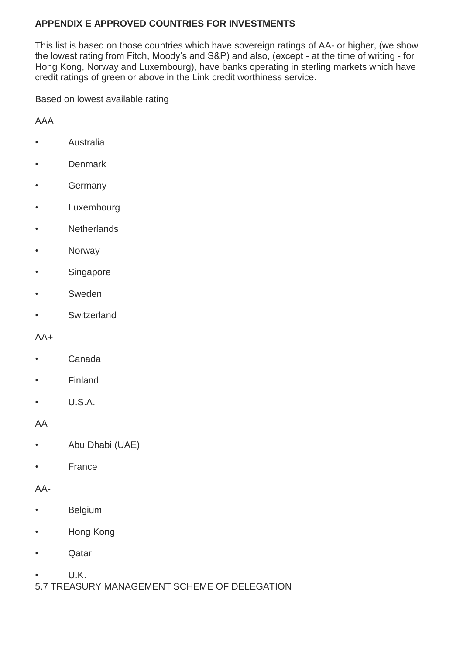# **APPENDIX E APPROVED COUNTRIES FOR INVESTMENTS**

This list is based on those countries which have sovereign ratings of AA- or higher, (we show the lowest rating from Fitch, Moody's and S&P) and also, (except - at the time of writing - for Hong Kong, Norway and Luxembourg), have banks operating in sterling markets which have credit ratings of green or above in the Link credit worthiness service.

Based on lowest available rating

AAA

- Australia
- Denmark
- Germany
- Luxembourg
- Netherlands
- Norway
- Singapore
- Sweden
- **Switzerland**

#### $AA+$

- Canada
- Finland
- $\cdot$  U.S.A.

AA

- Abu Dhabi (UAE)
- **France**

AA-

- Belgium
- Hong Kong
- Qatar
- U.K.
- 5.7 TREASURY MANAGEMENT SCHEME OF DELEGATION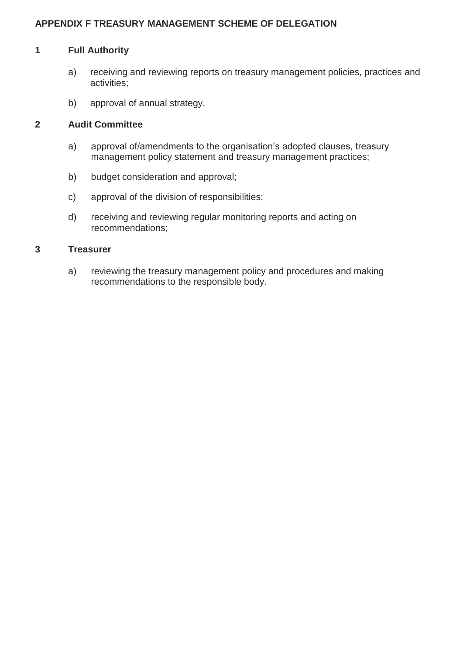# **APPENDIX F TREASURY MANAGEMENT SCHEME OF DELEGATION**

#### **1 Full Authority**

- a) receiving and reviewing reports on treasury management policies, practices and activities;
- b) approval of annual strategy.

# **2 Audit Committee**

- a) approval of/amendments to the organisation's adopted clauses, treasury management policy statement and treasury management practices;
- b) budget consideration and approval;
- c) approval of the division of responsibilities;
- d) receiving and reviewing regular monitoring reports and acting on recommendations;

#### **3 Treasurer**

a) reviewing the treasury management policy and procedures and making recommendations to the responsible body.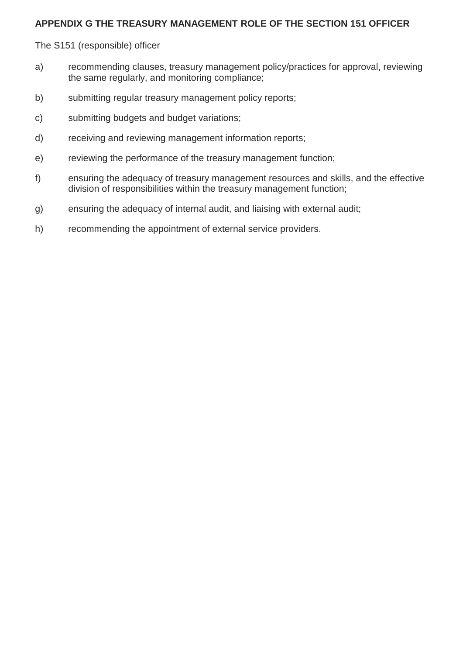# **APPENDIX G THE TREASURY MANAGEMENT ROLE OF THE SECTION 151 OFFICER**

The S151 (responsible) officer

- a) recommending clauses, treasury management policy/practices for approval, reviewing the same regularly, and monitoring compliance;
- b) submitting regular treasury management policy reports;
- c) submitting budgets and budget variations;
- d) receiving and reviewing management information reports;
- e) reviewing the performance of the treasury management function;
- f) ensuring the adequacy of treasury management resources and skills, and the effective division of responsibilities within the treasury management function;
- g) ensuring the adequacy of internal audit, and liaising with external audit;
- h) recommending the appointment of external service providers.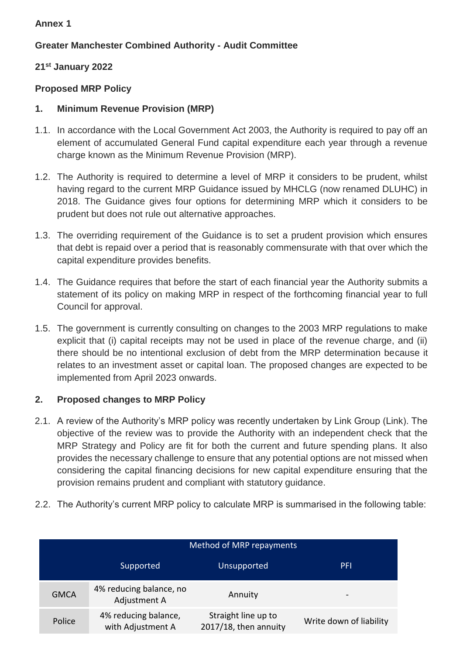# **Annex 1**

# **Greater Manchester Combined Authority - Audit Committee**

# **21st January 2022**

# **Proposed MRP Policy**

# **1. Minimum Revenue Provision (MRP)**

- 1.1. In accordance with the Local Government Act 2003, the Authority is required to pay off an element of accumulated General Fund capital expenditure each year through a revenue charge known as the Minimum Revenue Provision (MRP).
- 1.2. The Authority is required to determine a level of MRP it considers to be prudent, whilst having regard to the current MRP Guidance issued by MHCLG (now renamed DLUHC) in 2018. The Guidance gives four options for determining MRP which it considers to be prudent but does not rule out alternative approaches.
- 1.3. The overriding requirement of the Guidance is to set a prudent provision which ensures that debt is repaid over a period that is reasonably commensurate with that over which the capital expenditure provides benefits.
- 1.4. The Guidance requires that before the start of each financial year the Authority submits a statement of its policy on making MRP in respect of the forthcoming financial year to full Council for approval.
- 1.5. The government is currently consulting on changes to the 2003 MRP regulations to make explicit that (i) capital receipts may not be used in place of the revenue charge, and (ii) there should be no intentional exclusion of debt from the MRP determination because it relates to an investment asset or capital loan. The proposed changes are expected to be implemented from April 2023 onwards.

# **2. Proposed changes to MRP Policy**

- 2.1. A review of the Authority's MRP policy was recently undertaken by Link Group (Link). The objective of the review was to provide the Authority with an independent check that the MRP Strategy and Policy are fit for both the current and future spending plans. It also provides the necessary challenge to ensure that any potential options are not missed when considering the capital financing decisions for new capital expenditure ensuring that the provision remains prudent and compliant with statutory guidance.
- 2.2. The Authority's current MRP policy to calculate MRP is summarised in the following table:

|             | Method of MRP repayments                  |                                              |                         |  |  |  |  |
|-------------|-------------------------------------------|----------------------------------------------|-------------------------|--|--|--|--|
|             | Supported                                 | Unsupported                                  | <b>PFI</b>              |  |  |  |  |
| <b>GMCA</b> | 4% reducing balance, no<br>Adjustment A   | Annuity                                      | $\qquad \qquad$         |  |  |  |  |
| Police      | 4% reducing balance,<br>with Adjustment A | Straight line up to<br>2017/18, then annuity | Write down of liability |  |  |  |  |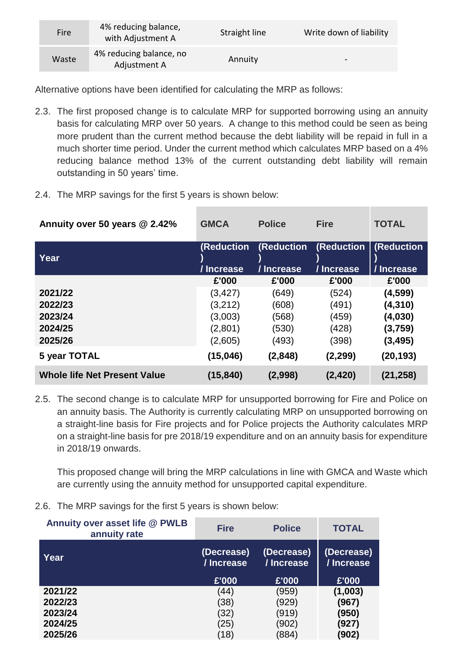| <b>Fire</b> | 4% reducing balance,<br>with Adjustment A | Straight line | Write down of liability |
|-------------|-------------------------------------------|---------------|-------------------------|
| Waste       | 4% reducing balance, no<br>Adjustment A   | Annuity       | $\blacksquare$          |

Alternative options have been identified for calculating the MRP as follows:

- 2.3. The first proposed change is to calculate MRP for supported borrowing using an annuity basis for calculating MRP over 50 years. A change to this method could be seen as being more prudent than the current method because the debt liability will be repaid in full in a much shorter time period. Under the current method which calculates MRP based on a 4% reducing balance method 13% of the current outstanding debt liability will remain outstanding in 50 years' time.
- 2.4. The MRP savings for the first 5 years is shown below:

| Annuity over 50 years @ 2.42%       | <b>GMCA</b>       | <b>Police</b>     | <b>Fire</b> | <b>TOTAL</b> |
|-------------------------------------|-------------------|-------------------|-------------|--------------|
| Year                                | <b>(Reduction</b> | <b>(Reduction</b> | (Reduction  | (Reduction   |
|                                     | / Increase        | / Increase        | / Increase  | / Increase   |
|                                     | £'000             | £'000             | £'000       | £'000        |
| 2021/22                             | (3, 427)          | (649)             | (524)       | (4,599)      |
| 2022/23                             | (3,212)           | (608)             | (491)       | (4, 310)     |
| 2023/24                             | (3,003)           | (568)             | (459)       | (4,030)      |
| 2024/25                             | (2,801)           | (530)             | (428)       | (3,759)      |
| 2025/26                             | (2,605)           | (493)             | (398)       | (3, 495)     |
| 5 year TOTAL                        | (15,046)          | (2,848)           | (2, 299)    | (20,193)     |
| <b>Whole life Net Present Value</b> | (15, 840)         | (2,998)           | (2, 420)    | (21, 258)    |

2.5. The second change is to calculate MRP for unsupported borrowing for Fire and Police on an annuity basis. The Authority is currently calculating MRP on unsupported borrowing on a straight-line basis for Fire projects and for Police projects the Authority calculates MRP on a straight-line basis for pre 2018/19 expenditure and on an annuity basis for expenditure in 2018/19 onwards.

This proposed change will bring the MRP calculations in line with GMCA and Waste which are currently using the annuity method for unsupported capital expenditure.

2.6. The MRP savings for the first 5 years is shown below:

| Annuity over asset life @ PWLB<br>annuity rate | <b>Fire</b>              | <b>Police</b>            | <b>TOTAL</b>             |
|------------------------------------------------|--------------------------|--------------------------|--------------------------|
| Year                                           | (Decrease)<br>/ Increase | (Decrease)<br>/ Increase | (Decrease)<br>/ Increase |
|                                                | £'000                    | £'000                    | £'000                    |
| 2021/22                                        | (44)                     | (959)                    | (1,003)                  |
| 2022/23                                        | (38)                     | (929)                    | (967)                    |
| 2023/24                                        | (32)                     | (919)                    | (950)                    |
| 2024/25                                        | (25)                     | (902)                    | (927)                    |
| 2025/26                                        | (18)                     | (884)                    | (902)                    |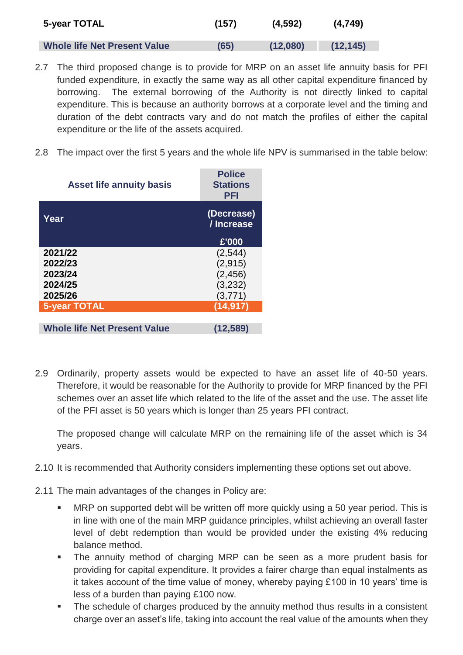| 5-year TOTAL                        | (157) | (4,592)  | (4,749)   |
|-------------------------------------|-------|----------|-----------|
| <b>Whole life Net Present Value</b> | (65)  | (12,080) | (12, 145) |

- 2.7 The third proposed change is to provide for MRP on an asset life annuity basis for PFI funded expenditure, in exactly the same way as all other capital expenditure financed by borrowing. The external borrowing of the Authority is not directly linked to capital expenditure. This is because an authority borrows at a corporate level and the timing and duration of the debt contracts vary and do not match the profiles of either the capital expenditure or the life of the assets acquired.
- 2.8 The impact over the first 5 years and the whole life NPV is summarised in the table below:

| <b>Asset life annuity basis</b>     | <b>Police</b><br><b>Stations</b><br>PFI |
|-------------------------------------|-----------------------------------------|
| Year                                | (Decrease)<br>/ Increase                |
|                                     | £'000                                   |
| 2021/22                             | (2,544)                                 |
| 2022/23                             | (2, 915)                                |
| 2023/24                             | (2, 456)                                |
| 2024/25                             | (3,232)                                 |
| 2025/26                             | (3,771)                                 |
| <b>5-year TOTAL</b>                 | (14, 917)                               |
|                                     |                                         |
| <b>Whole life Net Present Value</b> | (12, 589)                               |

2.9 Ordinarily, property assets would be expected to have an asset life of 40-50 years. Therefore, it would be reasonable for the Authority to provide for MRP financed by the PFI schemes over an asset life which related to the life of the asset and the use. The asset life of the PFI asset is 50 years which is longer than 25 years PFI contract.

The proposed change will calculate MRP on the remaining life of the asset which is 34 years.

- 2.10 It is recommended that Authority considers implementing these options set out above.
- 2.11 The main advantages of the changes in Policy are:
	- **MRP** on supported debt will be written off more quickly using a 50 year period. This is in line with one of the main MRP guidance principles, whilst achieving an overall faster level of debt redemption than would be provided under the existing 4% reducing balance method.
	- The annuity method of charging MRP can be seen as a more prudent basis for providing for capital expenditure. It provides a fairer charge than equal instalments as it takes account of the time value of money, whereby paying £100 in 10 years' time is less of a burden than paying £100 now.
	- The schedule of charges produced by the annuity method thus results in a consistent charge over an asset's life, taking into account the real value of the amounts when they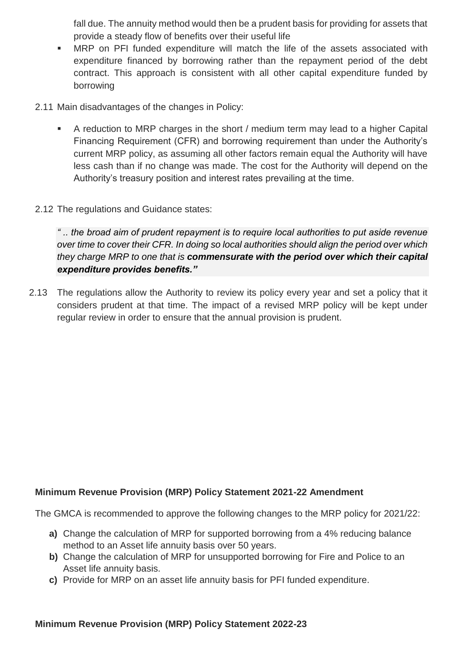fall due. The annuity method would then be a prudent basis for providing for assets that provide a steady flow of benefits over their useful life

- MRP on PFI funded expenditure will match the life of the assets associated with expenditure financed by borrowing rather than the repayment period of the debt contract. This approach is consistent with all other capital expenditure funded by borrowing
- 2.11 Main disadvantages of the changes in Policy:
	- A reduction to MRP charges in the short / medium term may lead to a higher Capital Financing Requirement (CFR) and borrowing requirement than under the Authority's current MRP policy, as assuming all other factors remain equal the Authority will have less cash than if no change was made. The cost for the Authority will depend on the Authority's treasury position and interest rates prevailing at the time.
- 2.12 The regulations and Guidance states:

*" .. the broad aim of prudent repayment is to require local authorities to put aside revenue over time to cover their CFR. In doing so local authorities should align the period over which they charge MRP to one that is commensurate with the period over which their capital expenditure provides benefits."*

2.13 The regulations allow the Authority to review its policy every year and set a policy that it considers prudent at that time. The impact of a revised MRP policy will be kept under regular review in order to ensure that the annual provision is prudent.

# **Minimum Revenue Provision (MRP) Policy Statement 2021-22 Amendment**

The GMCA is recommended to approve the following changes to the MRP policy for 2021/22:

- **a)** Change the calculation of MRP for supported borrowing from a 4% reducing balance method to an Asset life annuity basis over 50 years.
- **b)** Change the calculation of MRP for unsupported borrowing for Fire and Police to an Asset life annuity basis.
- **c)** Provide for MRP on an asset life annuity basis for PFI funded expenditure.